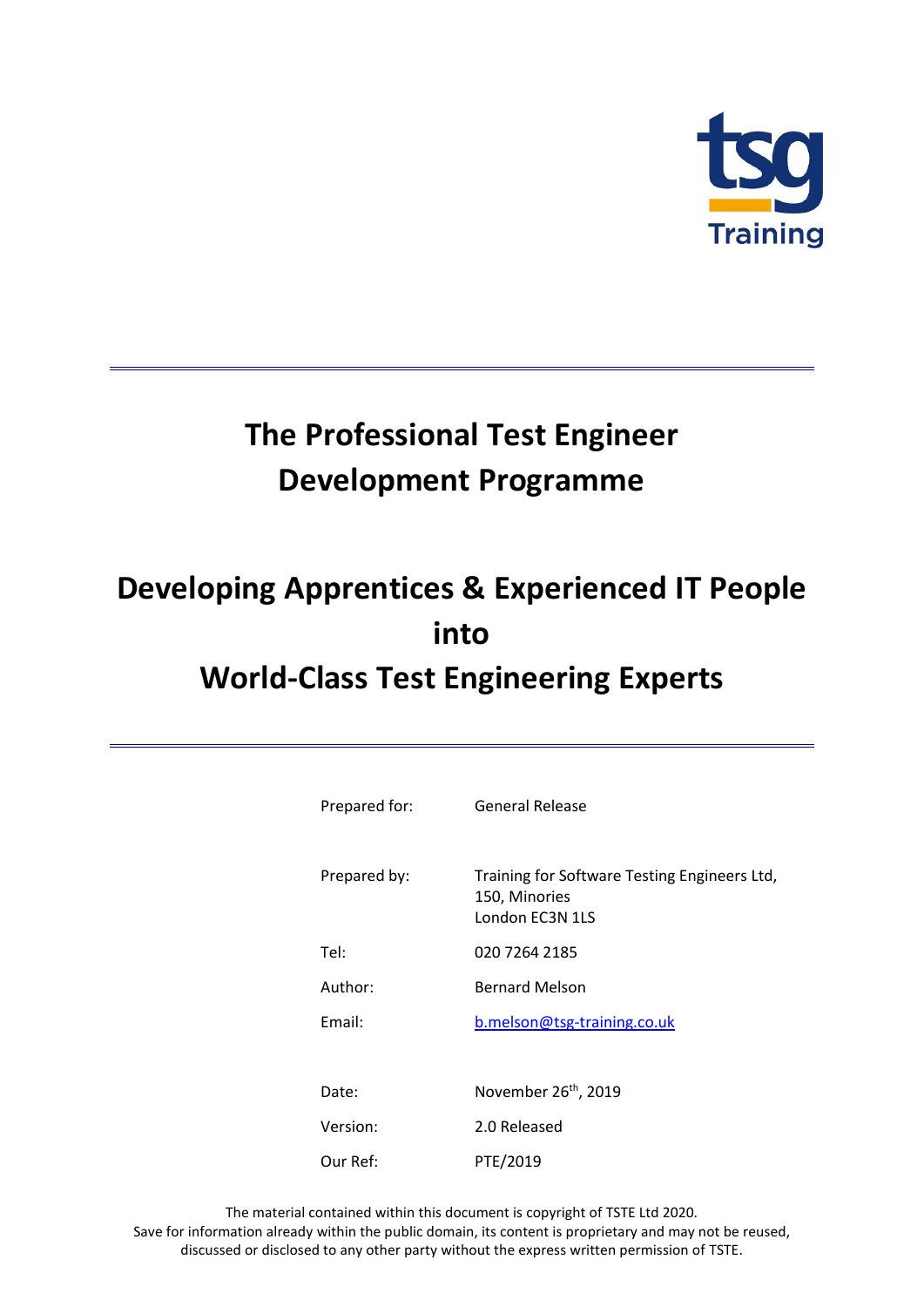

# **The Professional Test Engineer Development Programme**

# **Developing Apprentices & Experienced IT People into World-Class Test Engineering Experts**

| Prepared for: | <b>General Release</b>                                                           |
|---------------|----------------------------------------------------------------------------------|
| Prepared by:  | Training for Software Testing Engineers Ltd,<br>150, Minories<br>London EC3N 1LS |
| Tel:          | 020 7264 2185                                                                    |
| Author:       | <b>Bernard Melson</b>                                                            |
| Email:        | b.melson@tsg-training.co.uk                                                      |
|               |                                                                                  |
| Date:         | November 26 <sup>th</sup> , 2019                                                 |
| Version:      | 2.0 Released                                                                     |
| Our Ref:      | PTE/2019                                                                         |

The material contained within this document is copyright of TSTE Ltd 2020. Save for information already within the public domain, its content is proprietary and may not be reused, discussed or disclosed to any other party without the express written permission of TSTE.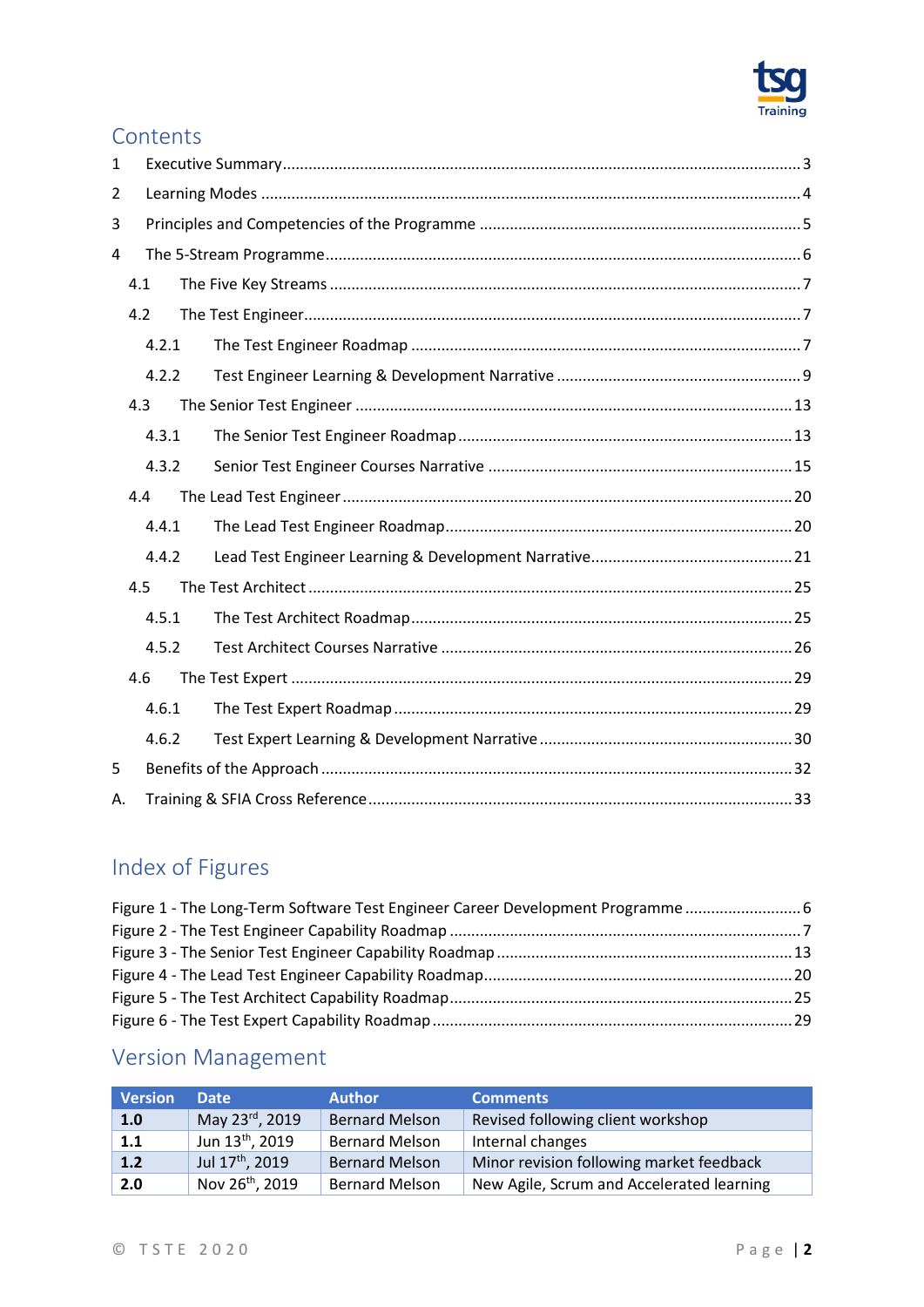

## Contents

| 1  |     |       |  |  |
|----|-----|-------|--|--|
| 2  |     |       |  |  |
| 3  |     |       |  |  |
| 4  |     |       |  |  |
|    | 4.1 |       |  |  |
|    | 4.2 |       |  |  |
|    |     | 4.2.1 |  |  |
|    |     | 4.2.2 |  |  |
|    | 4.3 |       |  |  |
|    |     | 4.3.1 |  |  |
|    |     | 4.3.2 |  |  |
|    | 4.4 |       |  |  |
|    |     | 4.4.1 |  |  |
|    |     | 4.4.2 |  |  |
|    | 4.5 |       |  |  |
|    |     | 4.5.1 |  |  |
|    |     | 4.5.2 |  |  |
|    | 4.6 |       |  |  |
|    |     | 4.6.1 |  |  |
|    |     | 4.6.2 |  |  |
| 5  |     |       |  |  |
| А. |     |       |  |  |

## Index of Figures

| Figure 1 - The Long-Term Software Test Engineer Career Development Programme 6 |  |
|--------------------------------------------------------------------------------|--|
|                                                                                |  |
|                                                                                |  |
|                                                                                |  |
|                                                                                |  |
|                                                                                |  |

## Version Management

| <b>Version</b> | <b>Date</b>                 | <b>Author</b>         | <b>Comments</b>                           |
|----------------|-----------------------------|-----------------------|-------------------------------------------|
| 1.0            | May 23rd, 2019              | <b>Bernard Melson</b> | Revised following client workshop         |
| 1.1            | Jun 13 <sup>th</sup> , 2019 | <b>Bernard Melson</b> | Internal changes                          |
| 1.2            | Jul 17 <sup>th</sup> , 2019 | <b>Bernard Melson</b> | Minor revision following market feedback  |
| 2.0            | Nov 26 <sup>th</sup> , 2019 | <b>Bernard Melson</b> | New Agile, Scrum and Accelerated learning |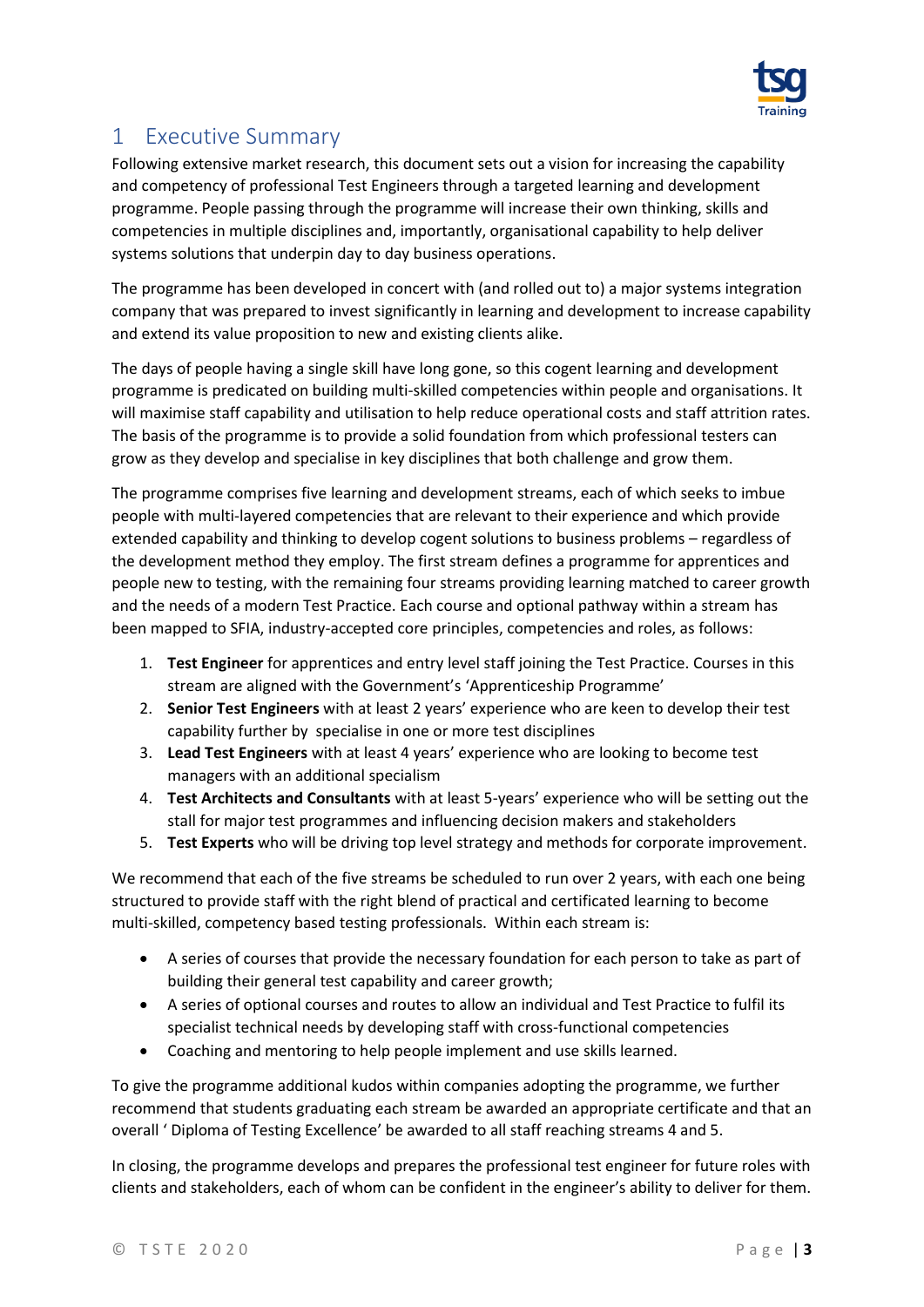

## <span id="page-2-0"></span>1 Executive Summary

Following extensive market research, this document sets out a vision for increasing the capability and competency of professional Test Engineers through a targeted learning and development programme. People passing through the programme will increase their own thinking, skills and competencies in multiple disciplines and, importantly, organisational capability to help deliver systems solutions that underpin day to day business operations.

The programme has been developed in concert with (and rolled out to) a major systems integration company that was prepared to invest significantly in learning and development to increase capability and extend its value proposition to new and existing clients alike.

The days of people having a single skill have long gone, so this cogent learning and development programme is predicated on building multi-skilled competencies within people and organisations. It will maximise staff capability and utilisation to help reduce operational costs and staff attrition rates. The basis of the programme is to provide a solid foundation from which professional testers can grow as they develop and specialise in key disciplines that both challenge and grow them.

The programme comprises five learning and development streams, each of which seeks to imbue people with multi-layered competencies that are relevant to their experience and which provide extended capability and thinking to develop cogent solutions to business problems – regardless of the development method they employ. The first stream defines a programme for apprentices and people new to testing, with the remaining four streams providing learning matched to career growth and the needs of a modern Test Practice. Each course and optional pathway within a stream has been mapped to SFIA, industry-accepted core principles, competencies and roles, as follows:

- 1. **Test Engineer** for apprentices and entry level staff joining the Test Practice. Courses in this stream are aligned with the Government's 'Apprenticeship Programme'
- 2. **Senior Test Engineers** with at least 2 years' experience who are keen to develop their test capability further by specialise in one or more test disciplines
- 3. **Lead Test Engineers** with at least 4 years' experience who are looking to become test managers with an additional specialism
- 4. **Test Architects and Consultants** with at least 5-years' experience who will be setting out the stall for major test programmes and influencing decision makers and stakeholders
- 5. **Test Experts** who will be driving top level strategy and methods for corporate improvement.

We recommend that each of the five streams be scheduled to run over 2 years, with each one being structured to provide staff with the right blend of practical and certificated learning to become multi-skilled, competency based testing professionals. Within each stream is:

- A series of courses that provide the necessary foundation for each person to take as part of building their general test capability and career growth;
- A series of optional courses and routes to allow an individual and Test Practice to fulfil its specialist technical needs by developing staff with cross-functional competencies
- Coaching and mentoring to help people implement and use skills learned.

To give the programme additional kudos within companies adopting the programme, we further recommend that students graduating each stream be awarded an appropriate certificate and that an overall ' Diploma of Testing Excellence' be awarded to all staff reaching streams 4 and 5.

In closing, the programme develops and prepares the professional test engineer for future roles with clients and stakeholders, each of whom can be confident in the engineer's ability to deliver for them.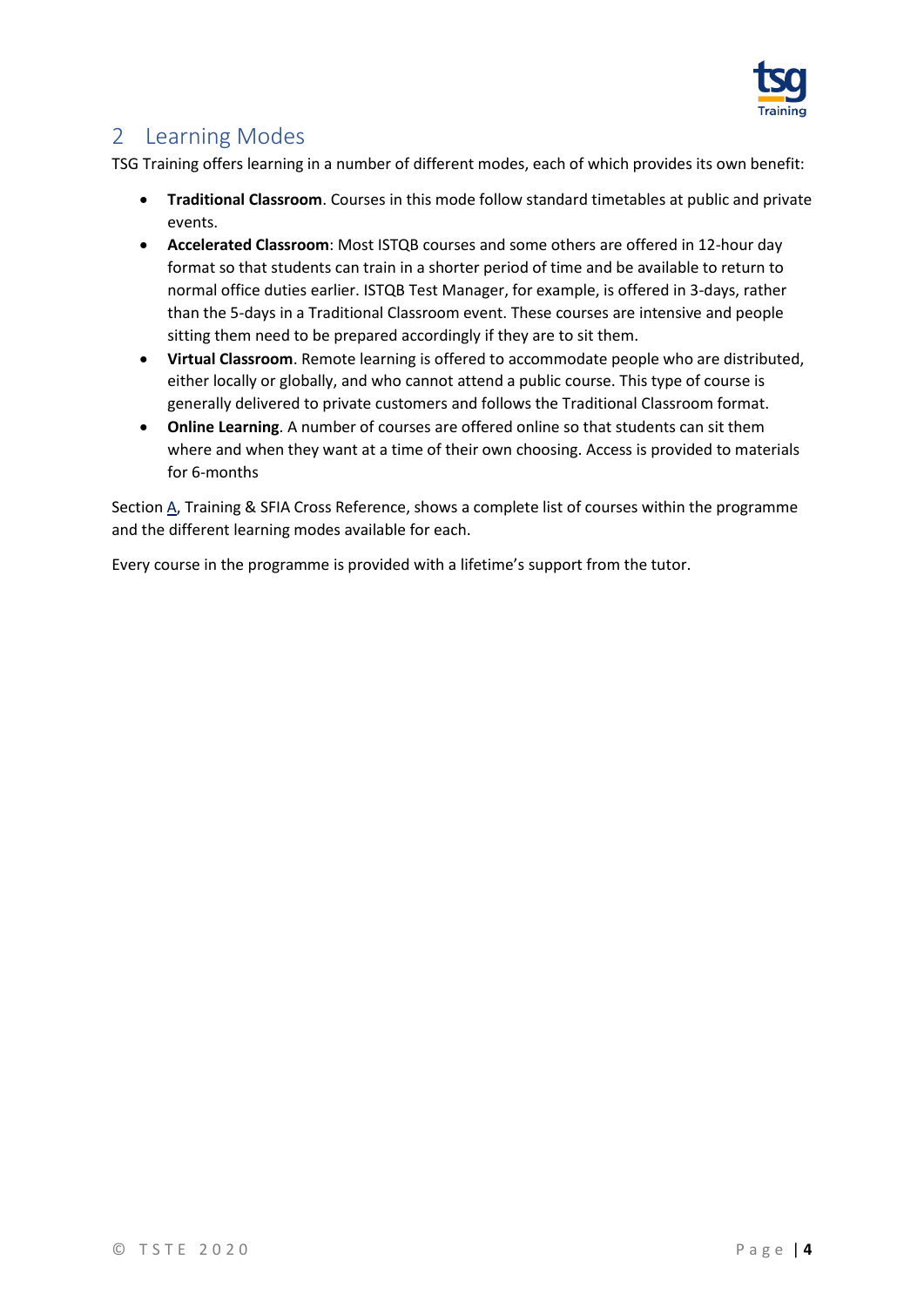

## <span id="page-3-0"></span>2 Learning Modes

TSG Training offers learning in a number of different modes, each of which provides its own benefit:

- **Traditional Classroom**. Courses in this mode follow standard timetables at public and private events.
- **Accelerated Classroom**: Most ISTQB courses and some others are offered in 12-hour day format so that students can train in a shorter period of time and be available to return to normal office duties earlier. ISTQB Test Manager, for example, is offered in 3-days, rather than the 5-days in a Traditional Classroom event. These courses are intensive and people sitting them need to be prepared accordingly if they are to sit them.
- **Virtual Classroom**. Remote learning is offered to accommodate people who are distributed, either locally or globally, and who cannot attend a public course. This type of course is generally delivered to private customers and follows the Traditional Classroom format.
- **Online Learning**. A number of courses are offered online so that students can sit them where and when they want at a time of their own choosing. Access is provided to materials for 6-months

Sectio[n A, Training & SFIA Cross Reference,](#page-32-0) shows a complete list of courses within the programme and the different learning modes available for each.

Every course in the programme is provided with a lifetime's support from the tutor.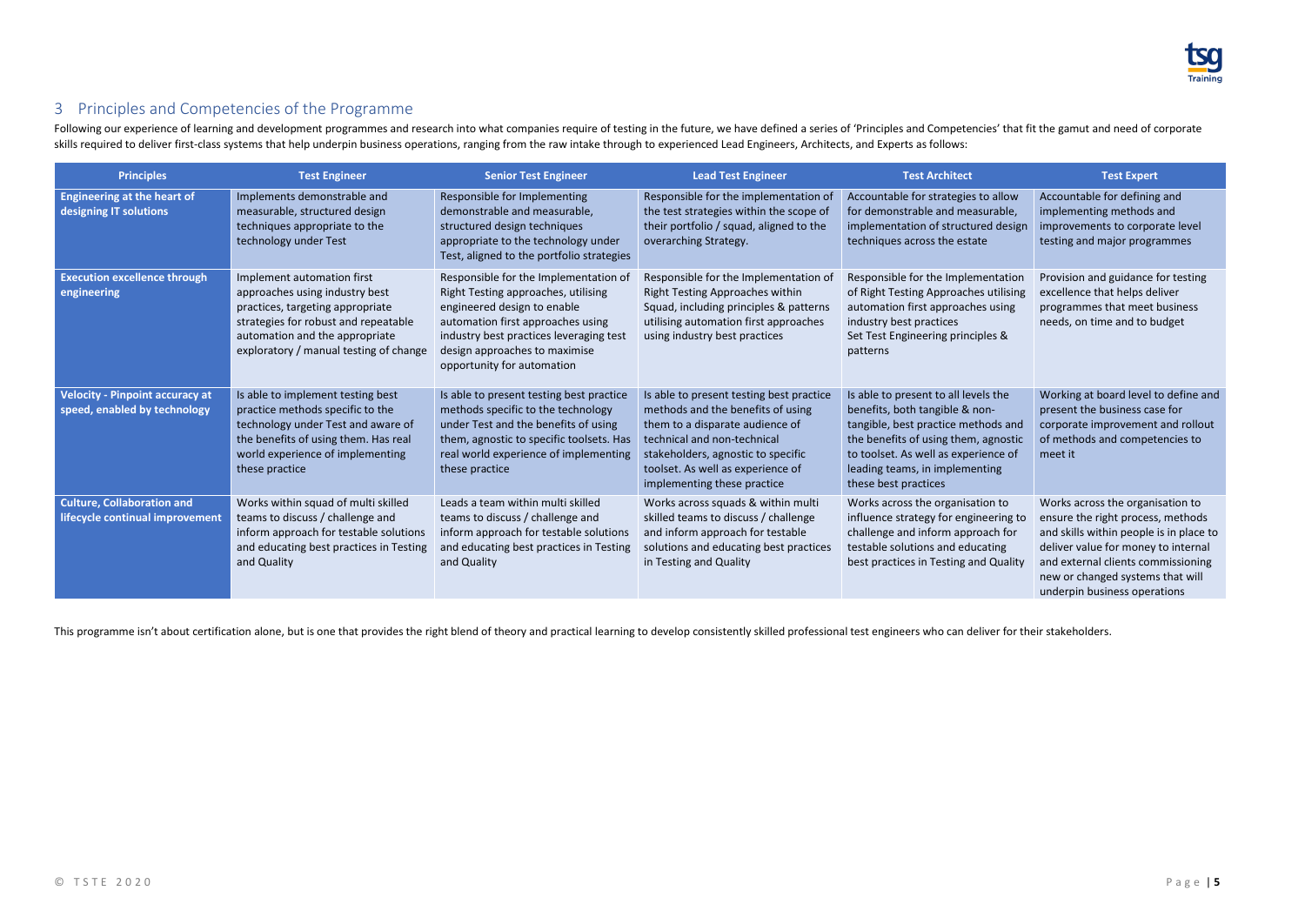

## <span id="page-4-0"></span>3 Principles and Competencies of the Programme

Following our experience of learning and development programmes and research into what companies require of testing in the future, we have defined a series of 'Principles and Competencies' that fit the gamut and need of co skills required to deliver first-class systems that help underpin business operations, ranging from the raw intake through to experienced Lead Engineers, Architects, and Experts as follows:

| <b>Principles</b>                                                      | <b>Test Engineer</b>                                                                                                                                                                                                 | <b>Senior Test Engineer</b>                                                                                                                                                                                                                                | <b>Lead Test Engineer</b>                                                                                                                                                                                                                                 | <b>Test Architect</b>                                                                                                                                                                                                                                   | <b>Test Expert</b>                                                                                                                                                                                                                                                |
|------------------------------------------------------------------------|----------------------------------------------------------------------------------------------------------------------------------------------------------------------------------------------------------------------|------------------------------------------------------------------------------------------------------------------------------------------------------------------------------------------------------------------------------------------------------------|-----------------------------------------------------------------------------------------------------------------------------------------------------------------------------------------------------------------------------------------------------------|---------------------------------------------------------------------------------------------------------------------------------------------------------------------------------------------------------------------------------------------------------|-------------------------------------------------------------------------------------------------------------------------------------------------------------------------------------------------------------------------------------------------------------------|
| <b>Engineering at the heart of</b><br>designing IT solutions           | Implements demonstrable and<br>measurable, structured design<br>techniques appropriate to the<br>technology under Test                                                                                               | Responsible for Implementing<br>demonstrable and measurable,<br>structured design techniques<br>appropriate to the technology under<br>Test, aligned to the portfolio strategies                                                                           | Responsible for the implementation of<br>the test strategies within the scope of<br>their portfolio / squad, aligned to the<br>overarching Strategy.                                                                                                      | Accountable for strategies to allow<br>for demonstrable and measurable,<br>implementation of structured design<br>techniques across the estate                                                                                                          | Accountable for defining and<br>implementing methods and<br>improvements to corporate level<br>testing and major programmes                                                                                                                                       |
| <b>Execution excellence through</b><br>engineering                     | Implement automation first<br>approaches using industry best<br>practices, targeting appropriate<br>strategies for robust and repeatable<br>automation and the appropriate<br>exploratory / manual testing of change | Responsible for the Implementation of<br>Right Testing approaches, utilising<br>engineered design to enable<br>automation first approaches using<br>industry best practices leveraging test<br>design approaches to maximise<br>opportunity for automation | Responsible for the Implementation of<br><b>Right Testing Approaches within</b><br>Squad, including principles & patterns<br>utilising automation first approaches<br>using industry best practices                                                       | Responsible for the Implementation<br>of Right Testing Approaches utilising<br>automation first approaches using<br>industry best practices<br>Set Test Engineering principles &<br>patterns                                                            | Provision and guidance for testing<br>excellence that helps deliver<br>programmes that meet business<br>needs, on time and to budget                                                                                                                              |
| <b>Velocity - Pinpoint accuracy at</b><br>speed, enabled by technology | Is able to implement testing best<br>practice methods specific to the<br>technology under Test and aware of<br>the benefits of using them. Has real<br>world experience of implementing<br>these practice            | Is able to present testing best practice<br>methods specific to the technology<br>under Test and the benefits of using<br>them, agnostic to specific toolsets. Has<br>real world experience of implementing<br>these practice                              | Is able to present testing best practice<br>methods and the benefits of using<br>them to a disparate audience of<br>technical and non-technical<br>stakeholders, agnostic to specific<br>toolset. As well as experience of<br>implementing these practice | Is able to present to all levels the<br>benefits, both tangible & non-<br>tangible, best practice methods and<br>the benefits of using them, agnostic<br>to toolset. As well as experience of<br>leading teams, in implementing<br>these best practices | Working at board level to define and<br>present the business case for<br>corporate improvement and rollout<br>of methods and competencies to<br>meet it                                                                                                           |
| <b>Culture, Collaboration and</b><br>lifecycle continual improvement   | Works within squad of multi skilled<br>teams to discuss / challenge and<br>inform approach for testable solutions<br>and educating best practices in Testing<br>and Quality                                          | Leads a team within multi skilled<br>teams to discuss / challenge and<br>inform approach for testable solutions<br>and educating best practices in Testing<br>and Quality                                                                                  | Works across squads & within multi<br>skilled teams to discuss / challenge<br>and inform approach for testable<br>solutions and educating best practices<br>in Testing and Quality                                                                        | Works across the organisation to<br>influence strategy for engineering to<br>challenge and inform approach for<br>testable solutions and educating<br>best practices in Testing and Quality                                                             | Works across the organisation to<br>ensure the right process, methods<br>and skills within people is in place to<br>deliver value for money to internal<br>and external clients commissioning<br>new or changed systems that will<br>underpin business operations |

This programme isn't about certification alone, but is one that provides the right blend of theory and practical learning to develop consistently skilled professional test engineers who can deliver for their stakeholders.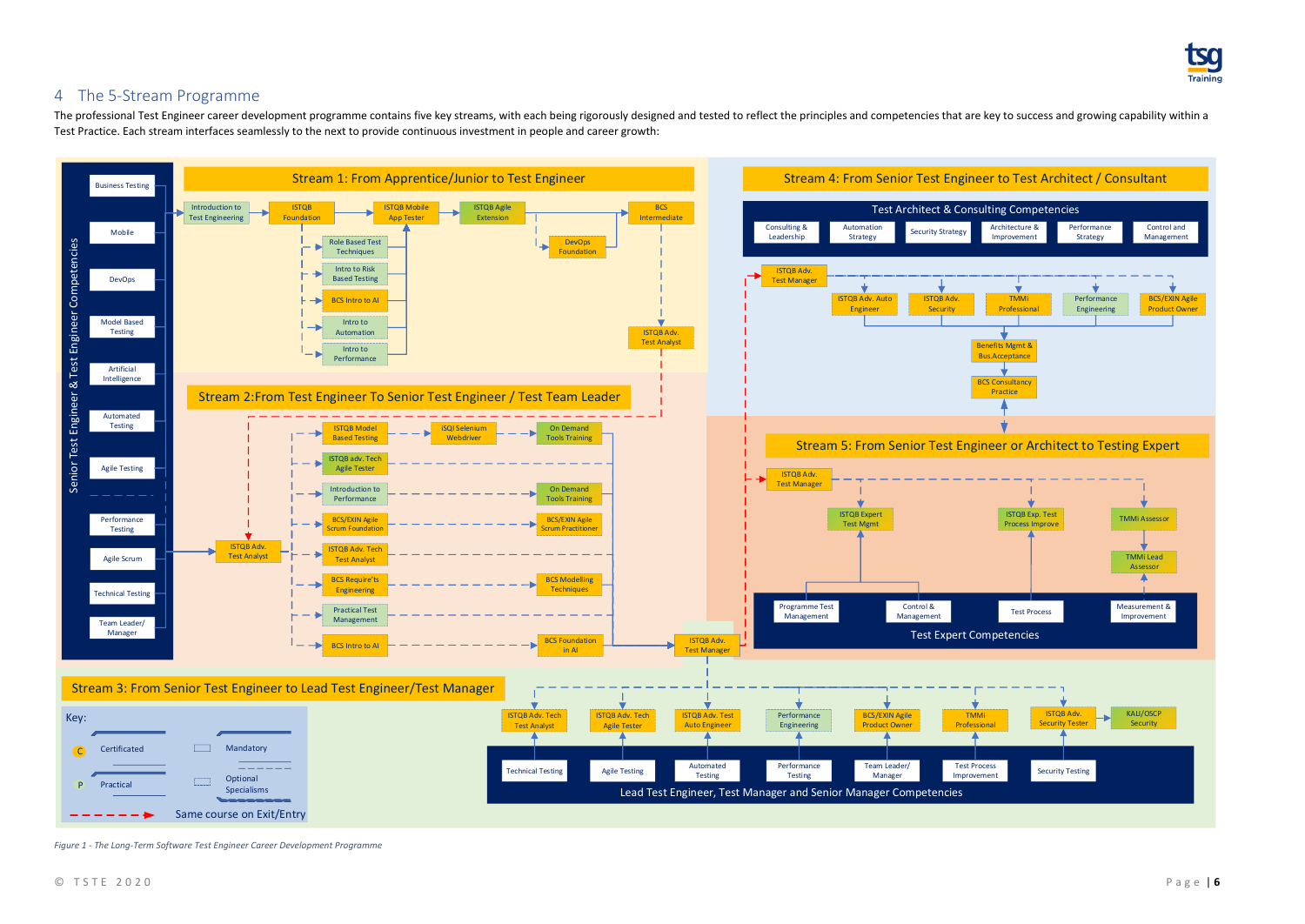

## <span id="page-5-0"></span>4 The 5-Stream Programme

The professional Test Engineer career development programme contains five key streams, with each being rigorously designed and tested to reflect the principles and competencies that are key to success and growing capabilit Test Practice. Each stream interfaces seamlessly to the next to provide continuous investment in people and career growth:



<span id="page-5-1"></span>*Figure 1 - The Long-Term Software Test Engineer Career Development Programme*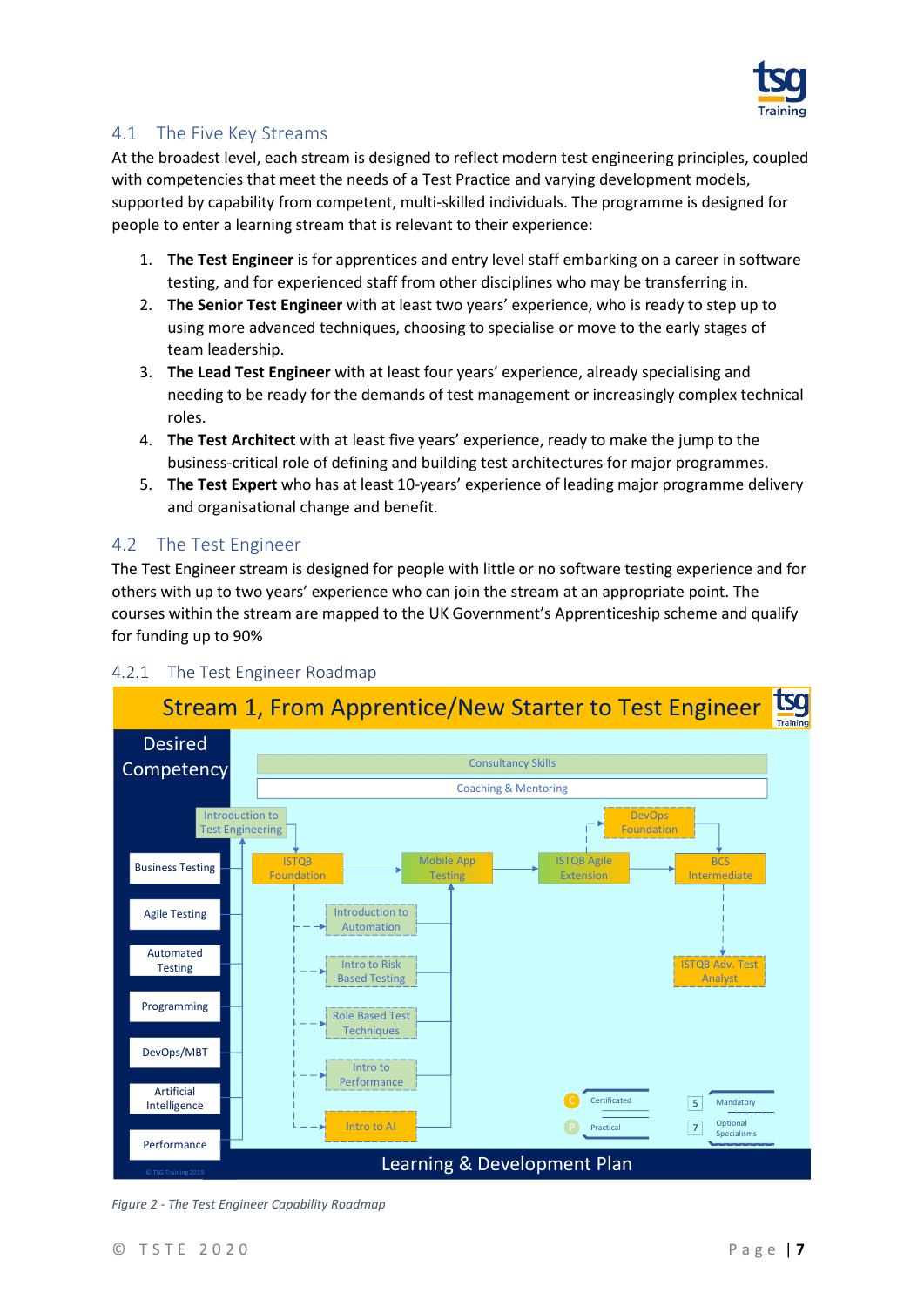

#### <span id="page-6-0"></span>4.1 The Five Key Streams

At the broadest level, each stream is designed to reflect modern test engineering principles, coupled with competencies that meet the needs of a Test Practice and varying development models, supported by capability from competent, multi-skilled individuals. The programme is designed for people to enter a learning stream that is relevant to their experience:

- 1. **The Test Engineer** is for apprentices and entry level staff embarking on a career in software testing, and for experienced staff from other disciplines who may be transferring in.
- 2. **The Senior Test Engineer** with at least two years' experience, who is ready to step up to using more advanced techniques, choosing to specialise or move to the early stages of team leadership.
- 3. **The Lead Test Engineer** with at least four years' experience, already specialising and needing to be ready for the demands of test management or increasingly complex technical roles.
- 4. **The Test Architect** with at least five years' experience, ready to make the jump to the business-critical role of defining and building test architectures for major programmes.
- 5. **The Test Expert** who has at least 10-years' experience of leading major programme delivery and organisational change and benefit.

#### <span id="page-6-1"></span>4.2 The Test Engineer

The Test Engineer stream is designed for people with little or no software testing experience and for others with up to two years' experience who can join the stream at an appropriate point. The courses within the stream are mapped to the UK Government's Apprenticeship scheme and qualify for funding up to 90%



#### <span id="page-6-2"></span>4.2.1 The Test Engineer Roadmap

<span id="page-6-3"></span>*Figure 2 - The Test Engineer Capability Roadmap*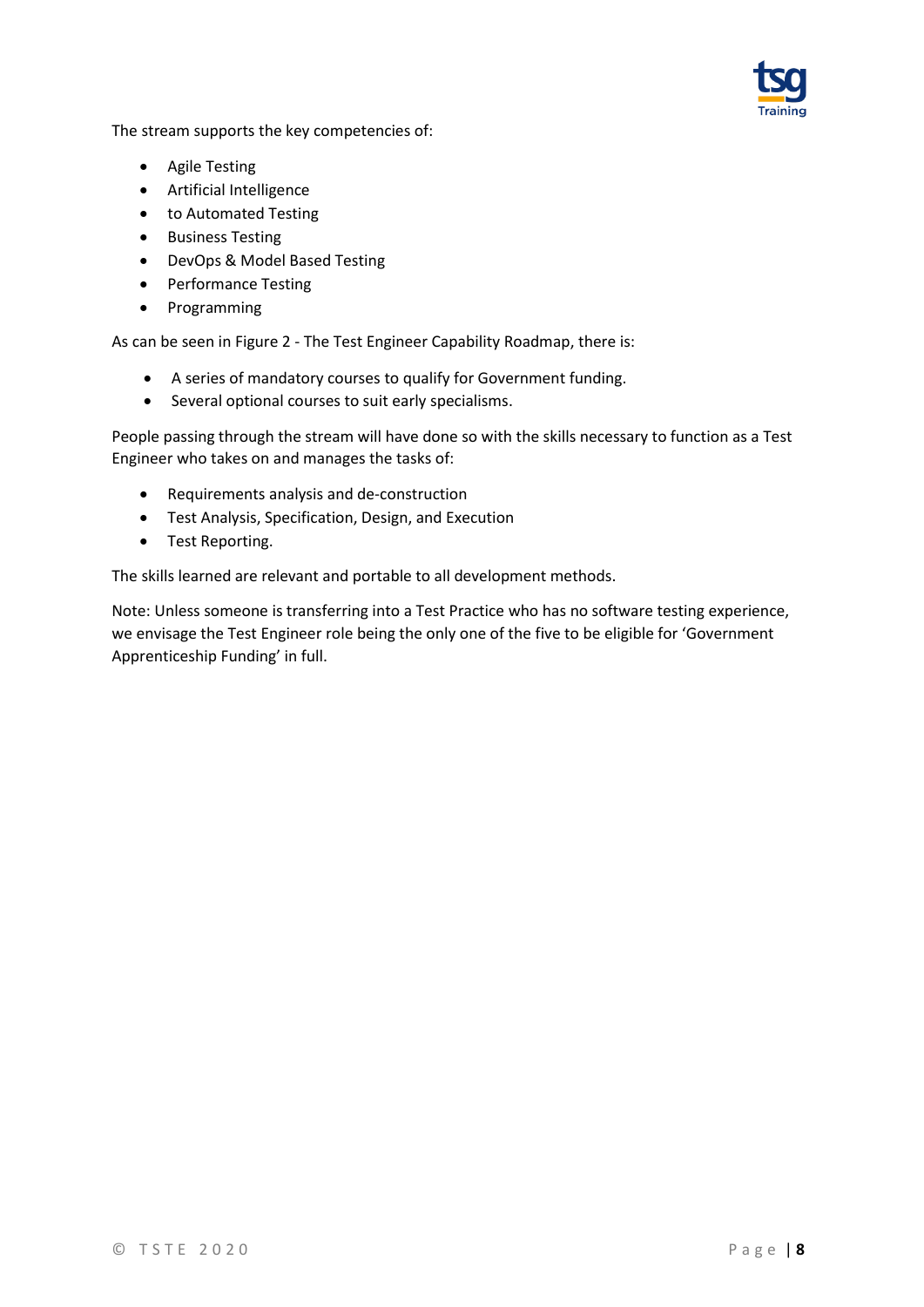

The stream supports the key competencies of:

- Agile Testing
- Artificial Intelligence
- to Automated Testing
- Business Testing
- DevOps & Model Based Testing
- Performance Testing
- Programming

As can be seen in Figure 2 - The Test Engineer [Capability Roadmap,](#page-6-3) there is:

- A series of mandatory courses to qualify for Government funding.
- Several optional courses to suit early specialisms.

People passing through the stream will have done so with the skills necessary to function as a Test Engineer who takes on and manages the tasks of:

- Requirements analysis and de-construction
- Test Analysis, Specification, Design, and Execution
- Test Reporting.

The skills learned are relevant and portable to all development methods.

Note: Unless someone is transferring into a Test Practice who has no software testing experience, we envisage the Test Engineer role being the only one of the five to be eligible for 'Government Apprenticeship Funding' in full.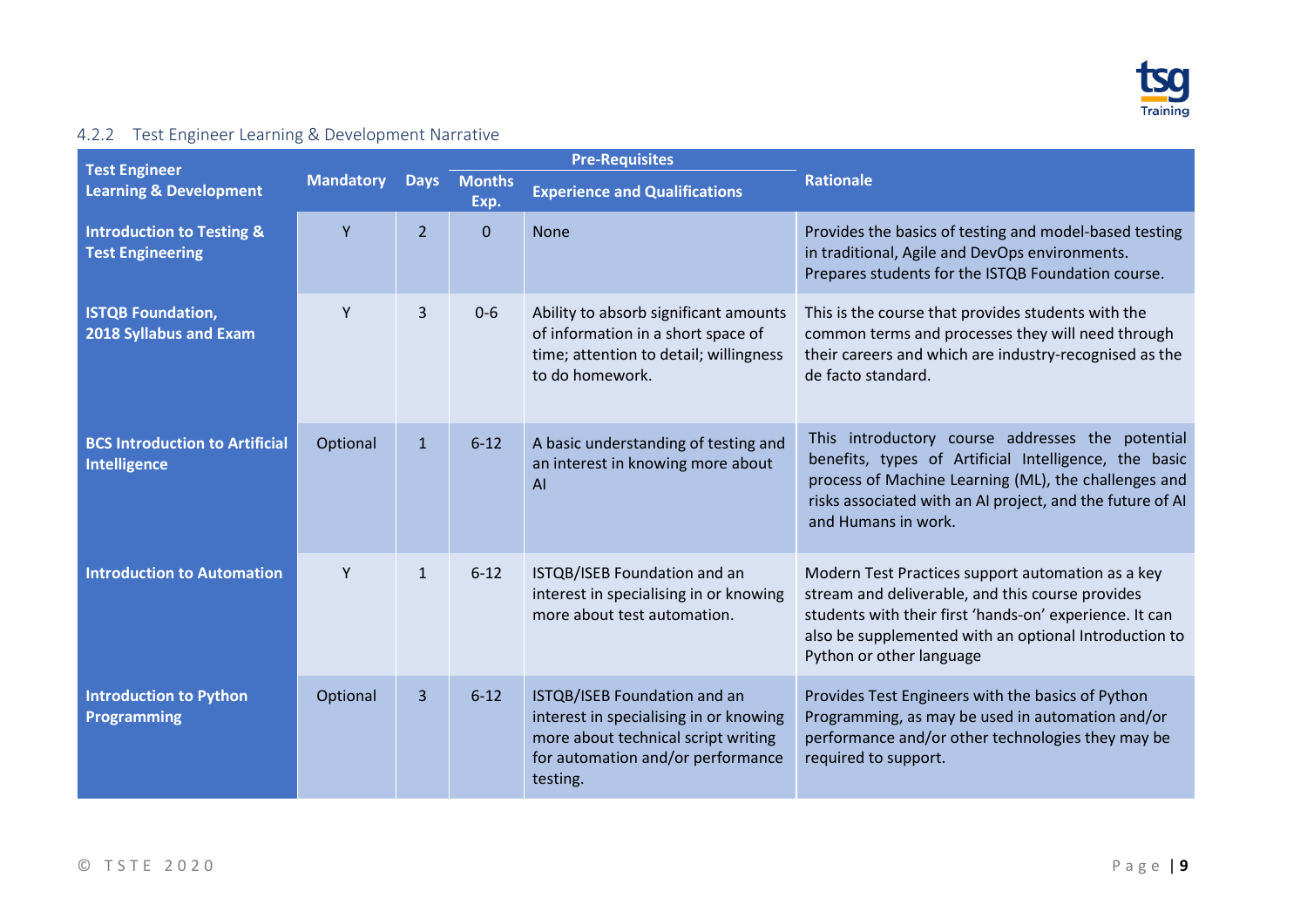

## 4.2.2 Test Engineer Learning & Development Narrative

<span id="page-8-0"></span>

| <b>Test Engineer</b>                                            |                  |                |                     | <b>Pre-Requisites</b>                                                                                                                                          |                                                                                                                                                                                                                                                       |
|-----------------------------------------------------------------|------------------|----------------|---------------------|----------------------------------------------------------------------------------------------------------------------------------------------------------------|-------------------------------------------------------------------------------------------------------------------------------------------------------------------------------------------------------------------------------------------------------|
| <b>Learning &amp; Development</b>                               | <b>Mandatory</b> |                | Days Months<br>Exp. | <b>Experience and Qualifications</b>                                                                                                                           | <b>Rationale</b>                                                                                                                                                                                                                                      |
| <b>Introduction to Testing &amp;</b><br><b>Test Engineering</b> | Y                | $\overline{2}$ | $\Omega$            | <b>None</b>                                                                                                                                                    | Provides the basics of testing and model-based testing<br>in traditional, Agile and DevOps environments.<br>Prepares students for the ISTQB Foundation course.                                                                                        |
| <b>ISTQB Foundation,</b><br>2018 Syllabus and Exam              | Y                | 3              | $0-6$               | Ability to absorb significant amounts<br>of information in a short space of<br>time; attention to detail; willingness<br>to do homework.                       | This is the course that provides students with the<br>common terms and processes they will need through<br>their careers and which are industry-recognised as the<br>de facto standard.                                                               |
| <b>BCS Introduction to Artificial</b><br><b>Intelligence</b>    | Optional         | $\mathbf{1}$   | $6 - 12$            | A basic understanding of testing and<br>an interest in knowing more about<br>AI                                                                                | This introductory course addresses the potential<br>benefits, types of Artificial Intelligence, the basic<br>process of Machine Learning (ML), the challenges and<br>risks associated with an AI project, and the future of AI<br>and Humans in work. |
| <b>Introduction to Automation</b>                               | Y                | $\mathbf{1}$   | $6 - 12$            | ISTQB/ISEB Foundation and an<br>interest in specialising in or knowing<br>more about test automation.                                                          | Modern Test Practices support automation as a key<br>stream and deliverable, and this course provides<br>students with their first 'hands-on' experience. It can<br>also be supplemented with an optional Introduction to<br>Python or other language |
| <b>Introduction to Python</b><br>Programming                    | Optional         | 3              | $6 - 12$            | ISTQB/ISEB Foundation and an<br>interest in specialising in or knowing<br>more about technical script writing<br>for automation and/or performance<br>testing. | Provides Test Engineers with the basics of Python<br>Programming, as may be used in automation and/or<br>performance and/or other technologies they may be<br>required to support.                                                                    |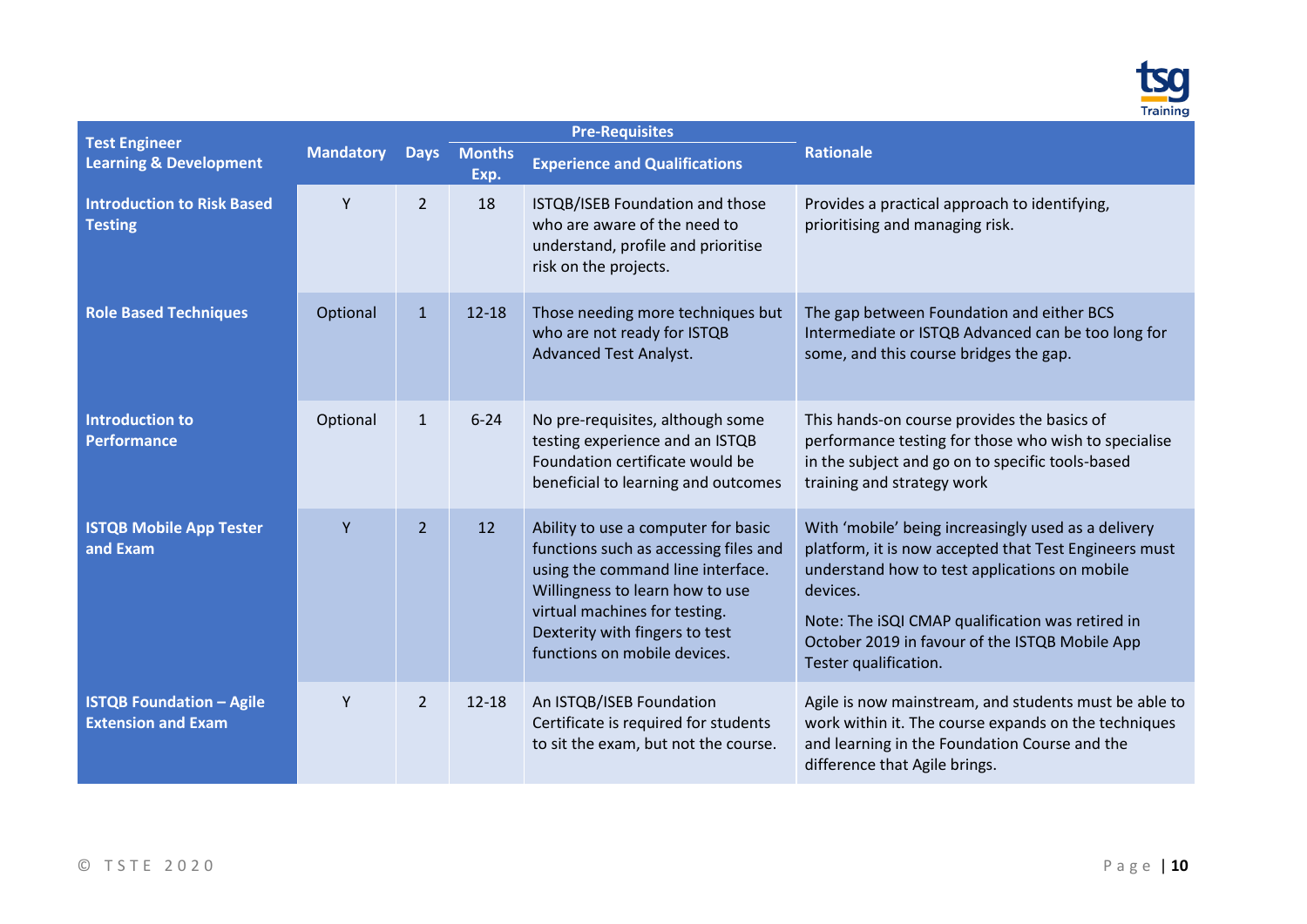

| <b>Test Engineer</b>                                                    |                  |                                                                                                                                                                                                                                                         |                                                                                                                                                                                                                                                                                                          | <b>Pre-Requisites</b>                                                                                                                         |                                                                                                                                                                                                 |
|-------------------------------------------------------------------------|------------------|---------------------------------------------------------------------------------------------------------------------------------------------------------------------------------------------------------------------------------------------------------|----------------------------------------------------------------------------------------------------------------------------------------------------------------------------------------------------------------------------------------------------------------------------------------------------------|-----------------------------------------------------------------------------------------------------------------------------------------------|-------------------------------------------------------------------------------------------------------------------------------------------------------------------------------------------------|
| <b>Learning &amp; Development</b>                                       | <b>Mandatory</b> | <b>Days</b>                                                                                                                                                                                                                                             | <b>Months</b><br>Exp.                                                                                                                                                                                                                                                                                    | <b>Experience and Qualifications</b>                                                                                                          | <b>Rationale</b>                                                                                                                                                                                |
| <b>Introduction to Risk Based</b><br><b>Testing</b>                     | Y                | $\overline{2}$                                                                                                                                                                                                                                          | 18                                                                                                                                                                                                                                                                                                       | ISTQB/ISEB Foundation and those<br>who are aware of the need to<br>understand, profile and prioritise<br>risk on the projects.                | Provides a practical approach to identifying,<br>prioritising and managing risk.                                                                                                                |
| <b>Role Based Techniques</b>                                            | Optional         | $\mathbf{1}$                                                                                                                                                                                                                                            | $12 - 18$                                                                                                                                                                                                                                                                                                | Those needing more techniques but<br>who are not ready for ISTQB<br><b>Advanced Test Analyst.</b>                                             | The gap between Foundation and either BCS<br>Intermediate or ISTQB Advanced can be too long for<br>some, and this course bridges the gap.                                                       |
| <b>Introduction to</b><br><b>Performance</b>                            | Optional         | $\mathbf{1}$                                                                                                                                                                                                                                            | $6 - 24$                                                                                                                                                                                                                                                                                                 | No pre-requisites, although some<br>testing experience and an ISTQB<br>Foundation certificate would be<br>beneficial to learning and outcomes | This hands-on course provides the basics of<br>performance testing for those who wish to specialise<br>in the subject and go on to specific tools-based<br>training and strategy work           |
| <b>ISTQB Mobile App Tester</b><br>Y<br>$\overline{2}$<br>12<br>and Exam |                  | Ability to use a computer for basic<br>functions such as accessing files and<br>using the command line interface.<br>Willingness to learn how to use<br>virtual machines for testing.<br>Dexterity with fingers to test<br>functions on mobile devices. | With 'mobile' being increasingly used as a delivery<br>platform, it is now accepted that Test Engineers must<br>understand how to test applications on mobile<br>devices.<br>Note: The iSQI CMAP qualification was retired in<br>October 2019 in favour of the ISTQB Mobile App<br>Tester qualification. |                                                                                                                                               |                                                                                                                                                                                                 |
| <b>ISTQB Foundation - Agile</b><br><b>Extension and Exam</b>            | Y                | $\overline{2}$                                                                                                                                                                                                                                          | $12 - 18$                                                                                                                                                                                                                                                                                                | An ISTQB/ISEB Foundation<br>Certificate is required for students<br>to sit the exam, but not the course.                                      | Agile is now mainstream, and students must be able to<br>work within it. The course expands on the techniques<br>and learning in the Foundation Course and the<br>difference that Agile brings. |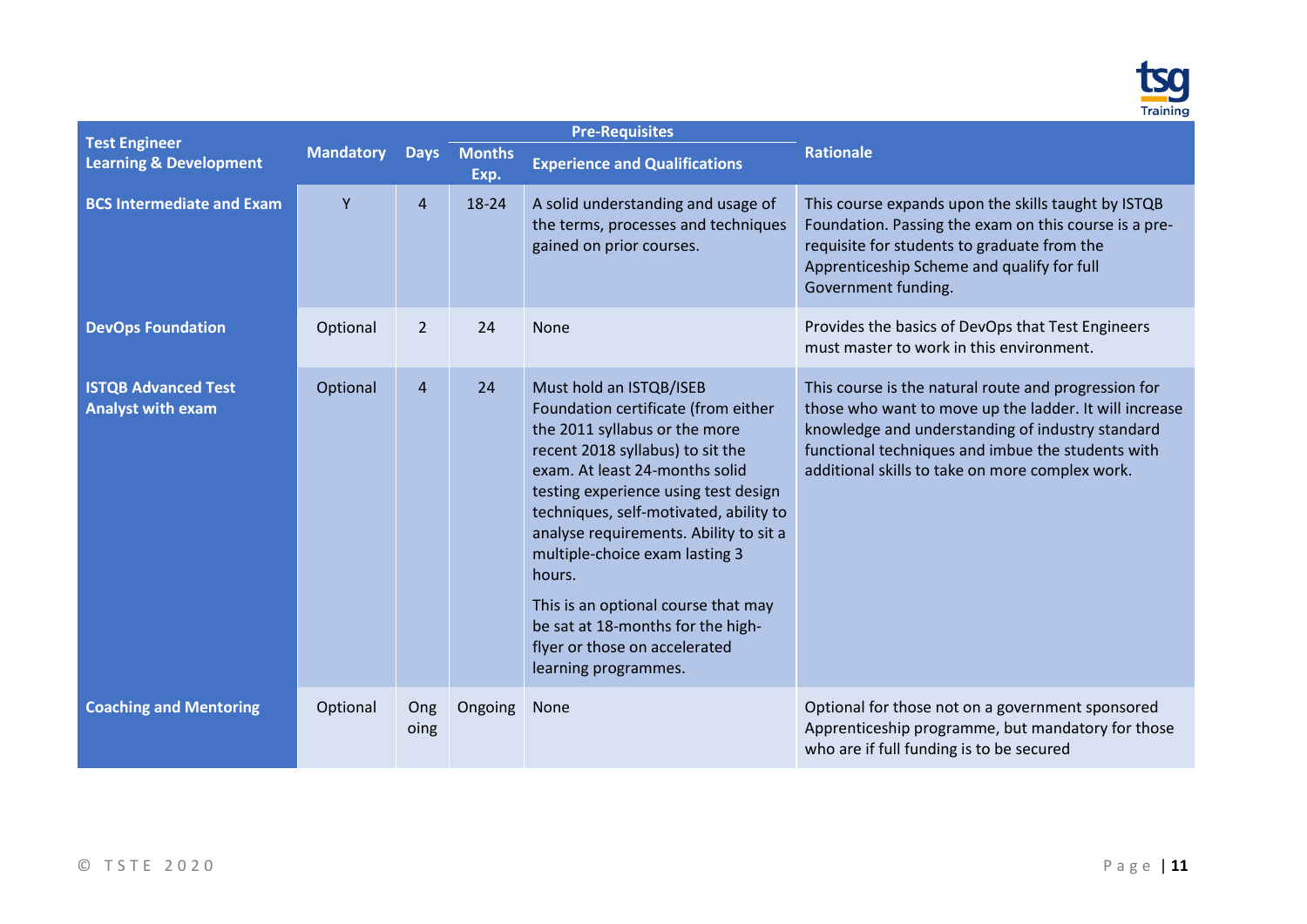

| <b>Test Engineer</b>                                   |                  |                |                     | <b>Pre-Requisites</b>                                                                                                                                                                                                                                                                                                                                                                                                                                                              |                                                                                                                                                                                                                                                                            |
|--------------------------------------------------------|------------------|----------------|---------------------|------------------------------------------------------------------------------------------------------------------------------------------------------------------------------------------------------------------------------------------------------------------------------------------------------------------------------------------------------------------------------------------------------------------------------------------------------------------------------------|----------------------------------------------------------------------------------------------------------------------------------------------------------------------------------------------------------------------------------------------------------------------------|
| <b>Learning &amp; Development</b>                      | <b>Mandatory</b> |                | Days Months<br>Exp. | <b>Experience and Qualifications</b>                                                                                                                                                                                                                                                                                                                                                                                                                                               | <b>Rationale</b>                                                                                                                                                                                                                                                           |
| <b>BCS Intermediate and Exam</b>                       | Y                | $\overline{4}$ | 18-24               | A solid understanding and usage of<br>the terms, processes and techniques<br>gained on prior courses.                                                                                                                                                                                                                                                                                                                                                                              | This course expands upon the skills taught by ISTQB<br>Foundation. Passing the exam on this course is a pre-<br>requisite for students to graduate from the<br>Apprenticeship Scheme and qualify for full<br>Government funding.                                           |
| <b>DevOps Foundation</b>                               | Optional         | 2              | 24                  | <b>None</b>                                                                                                                                                                                                                                                                                                                                                                                                                                                                        | Provides the basics of DevOps that Test Engineers<br>must master to work in this environment.                                                                                                                                                                              |
| <b>ISTQB Advanced Test</b><br><b>Analyst with exam</b> | Optional         | $\overline{4}$ | 24                  | Must hold an ISTQB/ISEB<br>Foundation certificate (from either<br>the 2011 syllabus or the more<br>recent 2018 syllabus) to sit the<br>exam. At least 24-months solid<br>testing experience using test design<br>techniques, self-motivated, ability to<br>analyse requirements. Ability to sit a<br>multiple-choice exam lasting 3<br>hours.<br>This is an optional course that may<br>be sat at 18-months for the high-<br>flyer or those on accelerated<br>learning programmes. | This course is the natural route and progression for<br>those who want to move up the ladder. It will increase<br>knowledge and understanding of industry standard<br>functional techniques and imbue the students with<br>additional skills to take on more complex work. |
| <b>Coaching and Mentoring</b>                          | Optional         | Ong<br>oing    | Ongoing             | None                                                                                                                                                                                                                                                                                                                                                                                                                                                                               | Optional for those not on a government sponsored<br>Apprenticeship programme, but mandatory for those<br>who are if full funding is to be secured                                                                                                                          |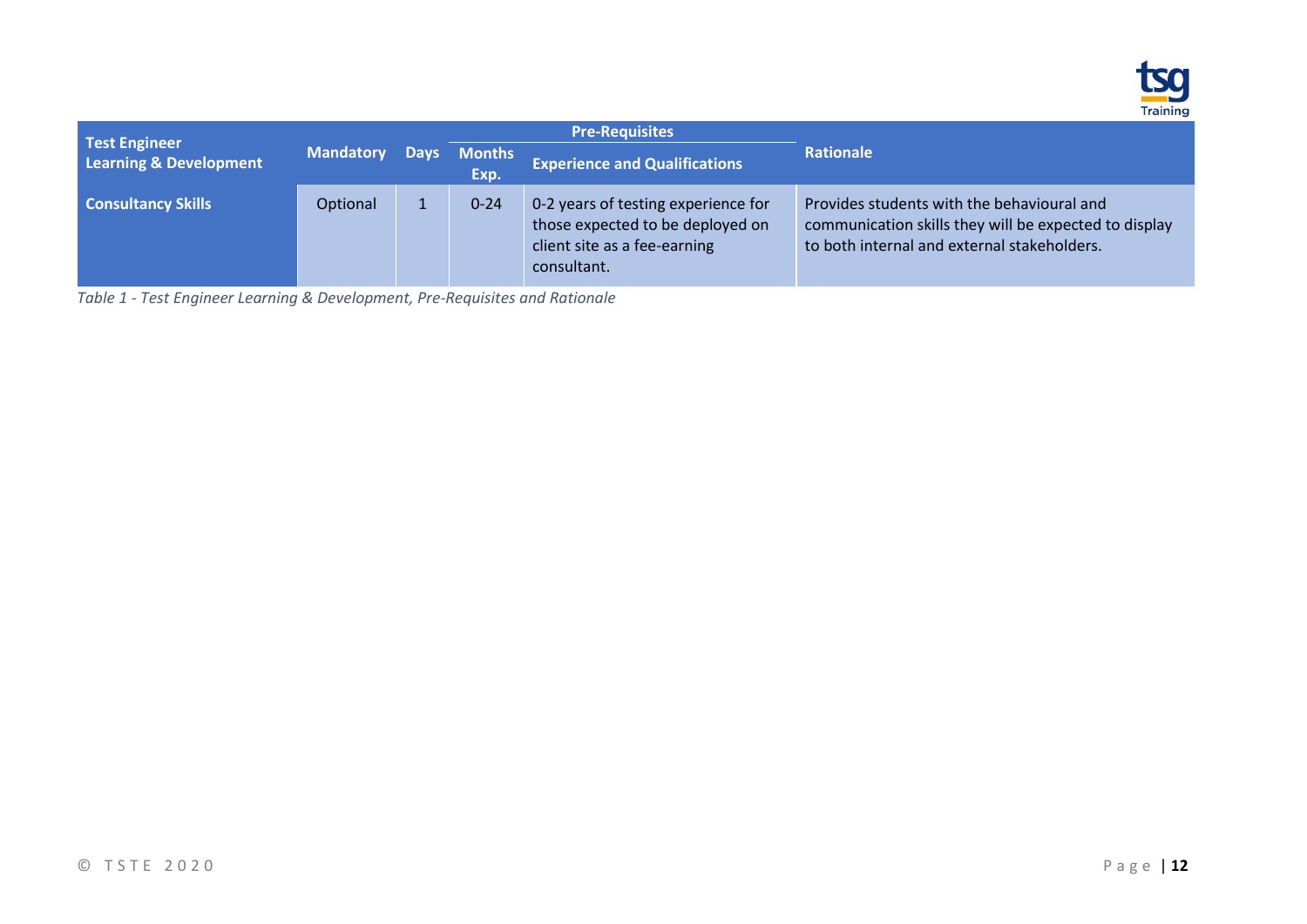

| <b>Test Engineer</b>      |                  |                     | <b>Pre-Requisites</b>                                                                                                  |                                                                                                                                                    |  |
|---------------------------|------------------|---------------------|------------------------------------------------------------------------------------------------------------------------|----------------------------------------------------------------------------------------------------------------------------------------------------|--|
| Learning & Development    | <b>Mandatory</b> | Days Months<br>Exp. | <b>Experience and Qualifications</b>                                                                                   | <b>Rationale</b>                                                                                                                                   |  |
| <b>Consultancy Skills</b> | Optional         | $0 - 24$            | 0-2 years of testing experience for<br>those expected to be deployed on<br>client site as a fee-earning<br>consultant. | Provides students with the behavioural and<br>communication skills they will be expected to display<br>to both internal and external stakeholders. |  |

*Table 1 - Test Engineer Learning & Development, Pre-Requisites and Rationale*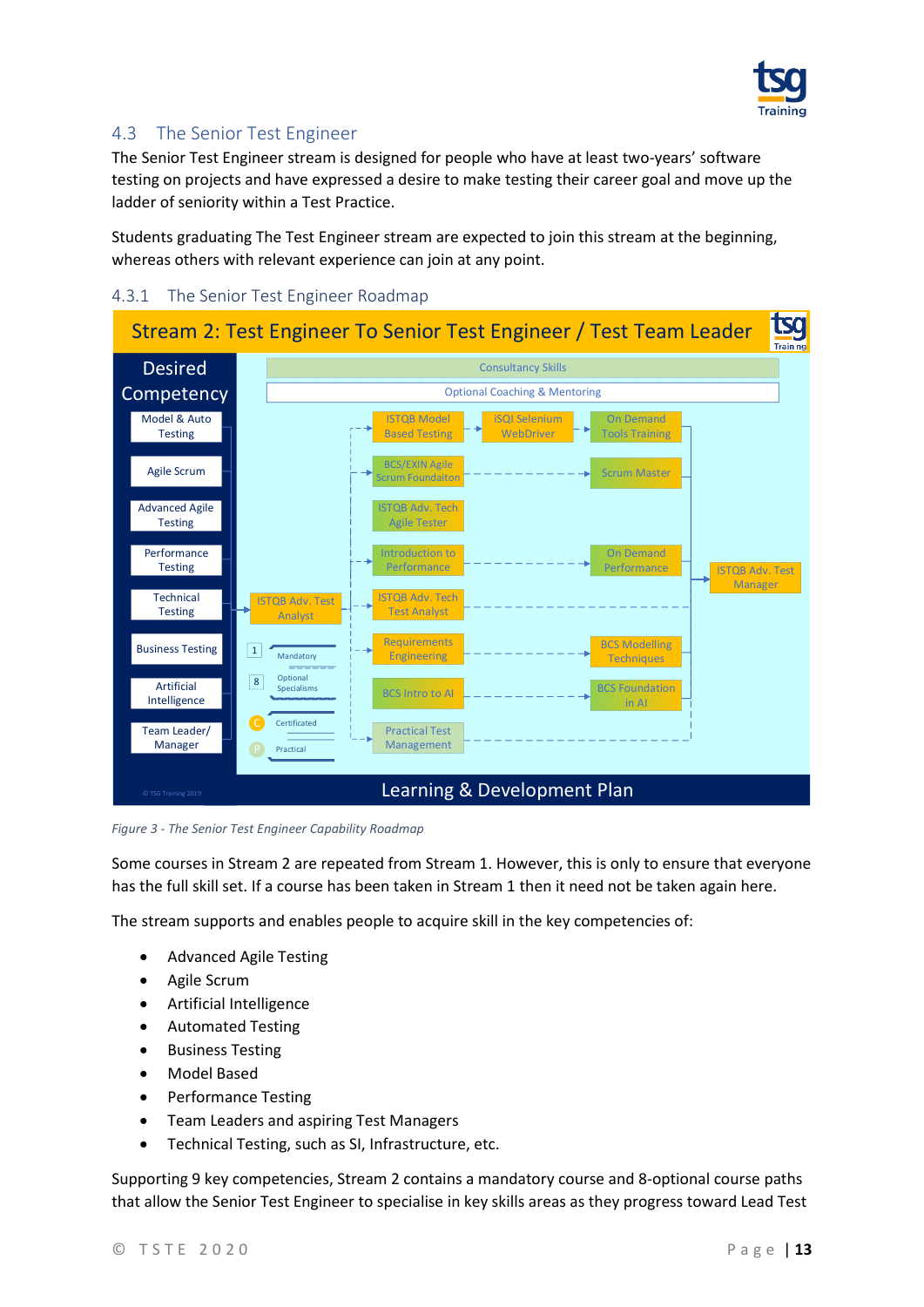

### <span id="page-12-0"></span>4.3 The Senior Test Engineer

The Senior Test Engineer stream is designed for people who have at least two-years' software testing on projects and have expressed a desire to make testing their career goal and move up the ladder of seniority within a Test Practice.

Students graduating [The Test Engineer](#page-6-1) stream are expected to join this stream at the beginning, whereas others with relevant experience can join at any point.

#### <span id="page-12-1"></span>4.3.1 The Senior Test Engineer Roadmap



<span id="page-12-2"></span>*Figure 3 - The Senior Test Engineer Capability Roadmap*

Some courses in Stream 2 are repeated from Stream 1. However, this is only to ensure that everyone has the full skill set. If a course has been taken in Stream 1 then it need not be taken again here.

The stream supports and enables people to acquire skill in the key competencies of:

- Advanced Agile Testing
- Agile Scrum
- Artificial Intelligence
- Automated Testing
- Business Testing
- Model Based
- Performance Testing
- Team Leaders and aspiring Test Managers
- Technical Testing, such as SI, Infrastructure, etc.

Supporting 9 key competencies, Stream 2 contains a mandatory course and 8-optional course paths that allow the Senior Test Engineer to specialise in key skills areas as they progress toward Lead Test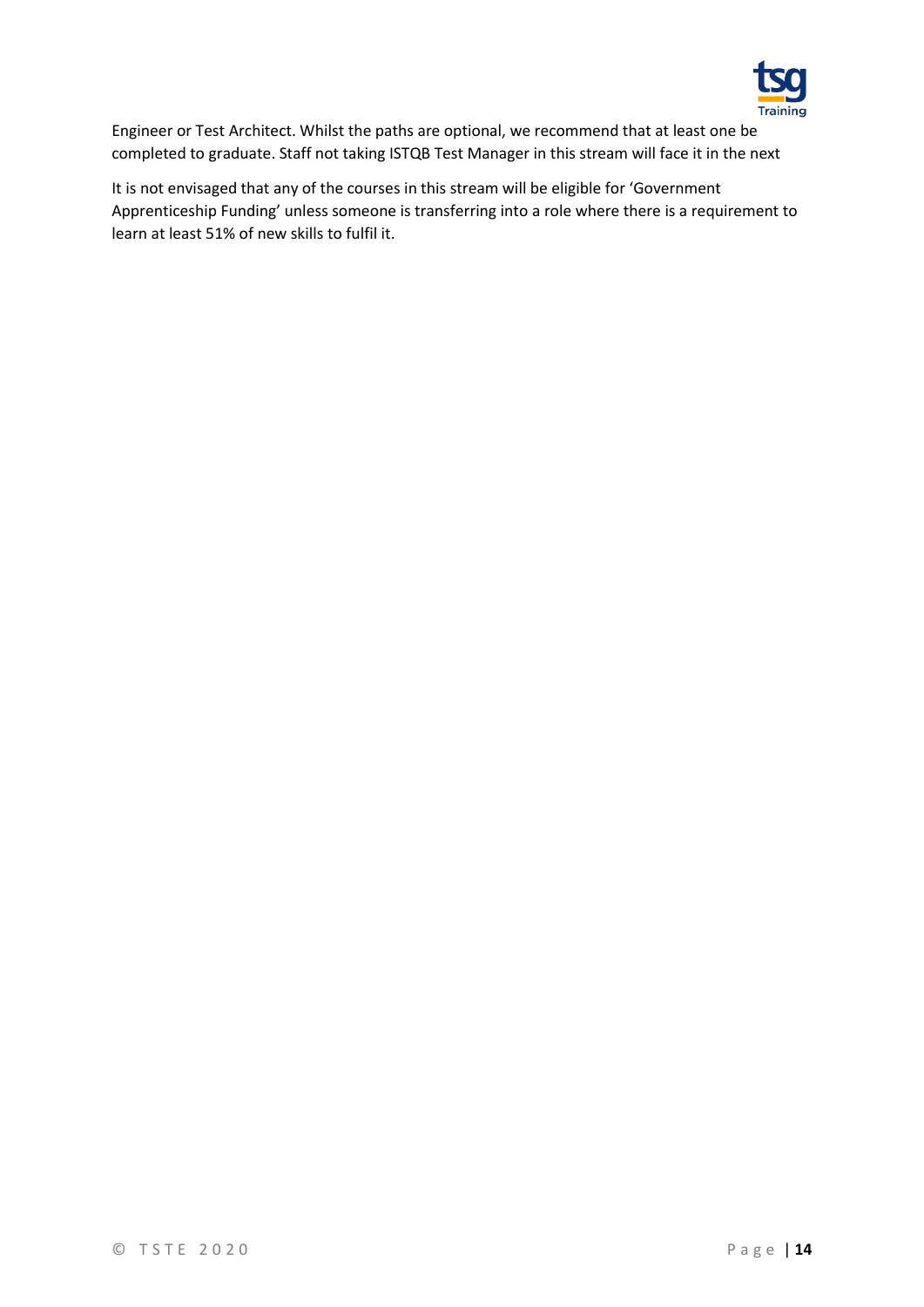

Engineer or Test Architect. Whilst the paths are optional, we recommend that at least one be completed to graduate. Staff not taking ISTQB Test Manager in this stream will face it in the next

It is not envisaged that any of the courses in this stream will be eligible for 'Government Apprenticeship Funding' unless someone is transferring into a role where there is a requirement to learn at least 51% of new skills to fulfil it.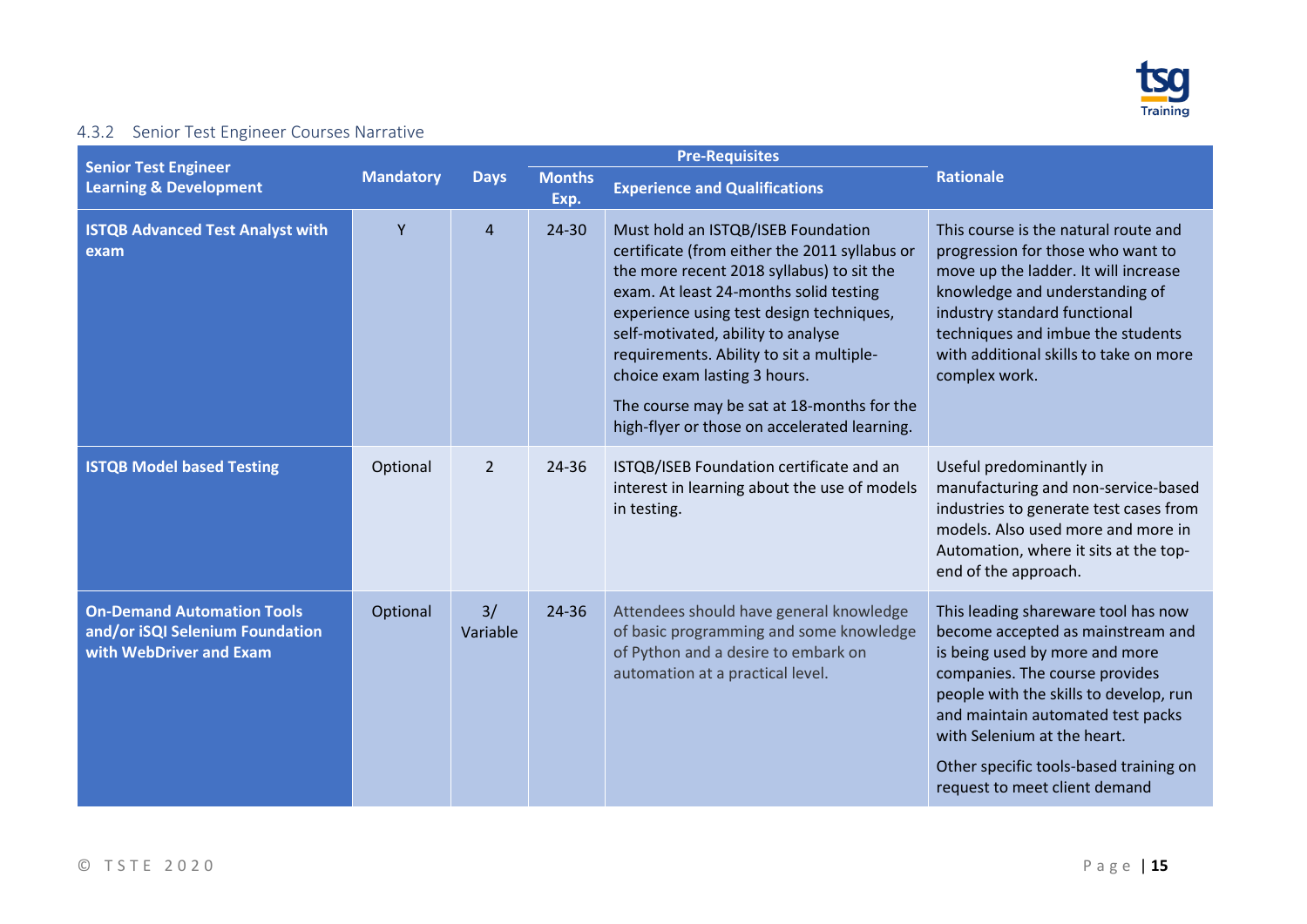

## 4.3.2 Senior Test Engineer Courses Narrative

<span id="page-14-0"></span>

| <b>Senior Test Engineer</b>                                                                     |                  |                |                       | <b>Pre-Requisites</b>                                                                                                                                                                                                                                                                                                                                                                                                                  |                                                                                                                                                                                                                                                                                                                                       |  |
|-------------------------------------------------------------------------------------------------|------------------|----------------|-----------------------|----------------------------------------------------------------------------------------------------------------------------------------------------------------------------------------------------------------------------------------------------------------------------------------------------------------------------------------------------------------------------------------------------------------------------------------|---------------------------------------------------------------------------------------------------------------------------------------------------------------------------------------------------------------------------------------------------------------------------------------------------------------------------------------|--|
| <b>Learning &amp; Development</b>                                                               | <b>Mandatory</b> | <b>Days</b>    | <b>Months</b><br>Exp. | <b>Experience and Qualifications</b>                                                                                                                                                                                                                                                                                                                                                                                                   | <b>Rationale</b>                                                                                                                                                                                                                                                                                                                      |  |
| <b>ISTQB Advanced Test Analyst with</b><br>exam                                                 | Y                | $\overline{4}$ | 24-30                 | Must hold an ISTQB/ISEB Foundation<br>certificate (from either the 2011 syllabus or<br>the more recent 2018 syllabus) to sit the<br>exam. At least 24-months solid testing<br>experience using test design techniques,<br>self-motivated, ability to analyse<br>requirements. Ability to sit a multiple-<br>choice exam lasting 3 hours.<br>The course may be sat at 18-months for the<br>high-flyer or those on accelerated learning. | This course is the natural route and<br>progression for those who want to<br>move up the ladder. It will increase<br>knowledge and understanding of<br>industry standard functional<br>techniques and imbue the students<br>with additional skills to take on more<br>complex work.                                                   |  |
| <b>ISTQB Model based Testing</b>                                                                | Optional         | $\overline{2}$ | 24-36                 | ISTQB/ISEB Foundation certificate and an<br>interest in learning about the use of models<br>in testing.                                                                                                                                                                                                                                                                                                                                | Useful predominantly in<br>manufacturing and non-service-based<br>industries to generate test cases from<br>models. Also used more and more in<br>Automation, where it sits at the top-<br>end of the approach.                                                                                                                       |  |
| <b>On-Demand Automation Tools</b><br>and/or iSQI Selenium Foundation<br>with WebDriver and Exam | Optional         | 3/<br>Variable | 24-36                 | Attendees should have general knowledge<br>of basic programming and some knowledge<br>of Python and a desire to embark on<br>automation at a practical level.                                                                                                                                                                                                                                                                          | This leading shareware tool has now<br>become accepted as mainstream and<br>is being used by more and more<br>companies. The course provides<br>people with the skills to develop, run<br>and maintain automated test packs<br>with Selenium at the heart.<br>Other specific tools-based training on<br>request to meet client demand |  |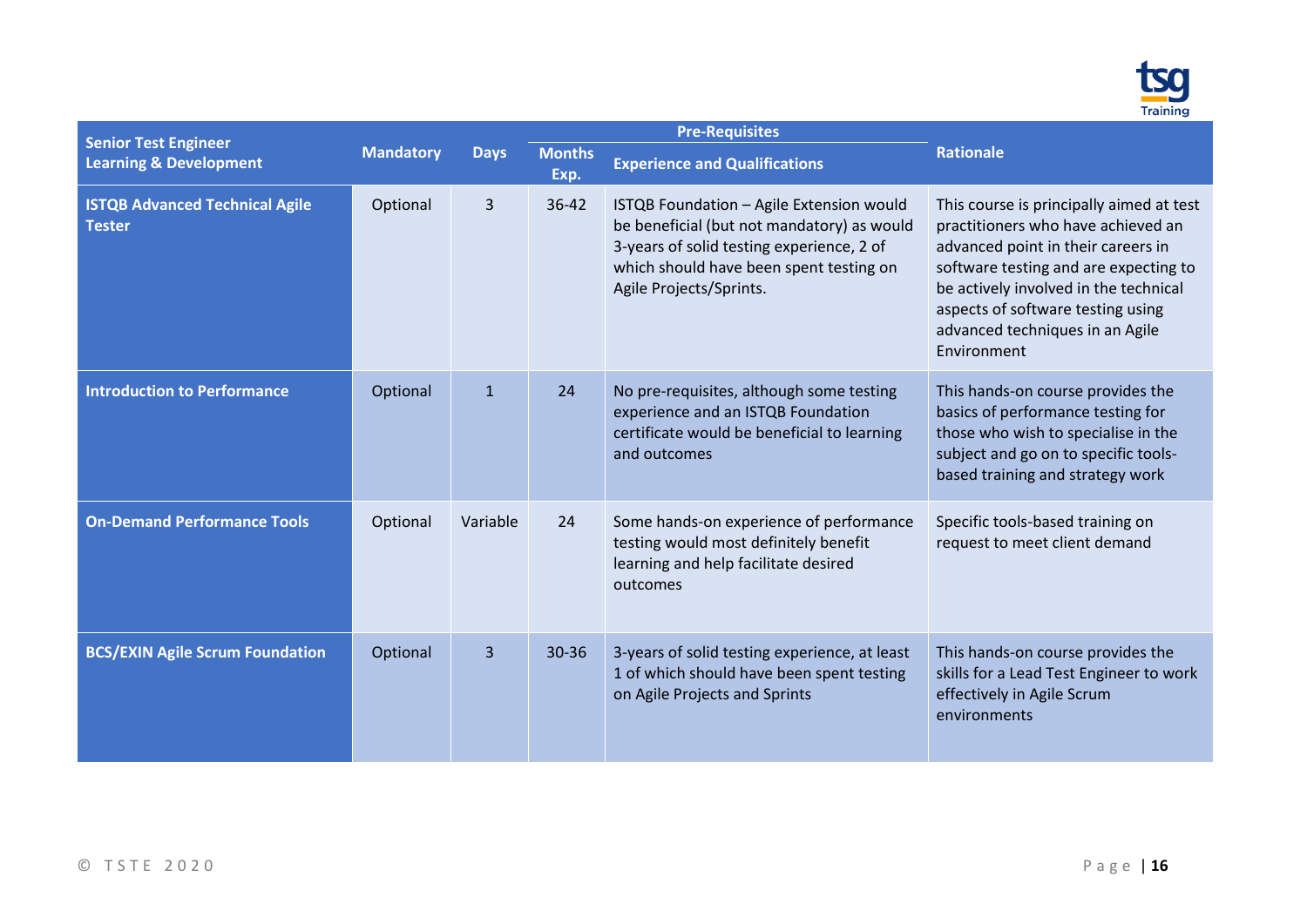

| <b>Senior Test Engineer</b>                            |                  |                |                       | <b>Pre-Requisites</b>                                                                                                                                                                                     |                                                                                                                                                                                                                                                                                               |  |
|--------------------------------------------------------|------------------|----------------|-----------------------|-----------------------------------------------------------------------------------------------------------------------------------------------------------------------------------------------------------|-----------------------------------------------------------------------------------------------------------------------------------------------------------------------------------------------------------------------------------------------------------------------------------------------|--|
| <b>Learning &amp; Development</b>                      | <b>Mandatory</b> | <b>Days</b>    | <b>Months</b><br>Exp. | <b>Experience and Qualifications</b>                                                                                                                                                                      | <b>Rationale</b>                                                                                                                                                                                                                                                                              |  |
| <b>ISTQB Advanced Technical Agile</b><br><b>Tester</b> | Optional         | $\overline{3}$ | 36-42                 | ISTQB Foundation - Agile Extension would<br>be beneficial (but not mandatory) as would<br>3-years of solid testing experience, 2 of<br>which should have been spent testing on<br>Agile Projects/Sprints. | This course is principally aimed at test<br>practitioners who have achieved an<br>advanced point in their careers in<br>software testing and are expecting to<br>be actively involved in the technical<br>aspects of software testing using<br>advanced techniques in an Agile<br>Environment |  |
| <b>Introduction to Performance</b>                     | Optional         | $\mathbf{1}$   | 24                    | No pre-requisites, although some testing<br>experience and an ISTQB Foundation<br>certificate would be beneficial to learning<br>and outcomes                                                             | This hands-on course provides the<br>basics of performance testing for<br>those who wish to specialise in the<br>subject and go on to specific tools-<br>based training and strategy work                                                                                                     |  |
| <b>On-Demand Performance Tools</b>                     | Optional         | Variable       | 24                    | Some hands-on experience of performance<br>testing would most definitely benefit<br>learning and help facilitate desired<br>outcomes                                                                      | Specific tools-based training on<br>request to meet client demand                                                                                                                                                                                                                             |  |
| <b>BCS/EXIN Agile Scrum Foundation</b>                 | Optional         | $\overline{3}$ | 30-36                 | 3-years of solid testing experience, at least<br>1 of which should have been spent testing<br>on Agile Projects and Sprints                                                                               | This hands-on course provides the<br>skills for a Lead Test Engineer to work<br>effectively in Agile Scrum<br>environments                                                                                                                                                                    |  |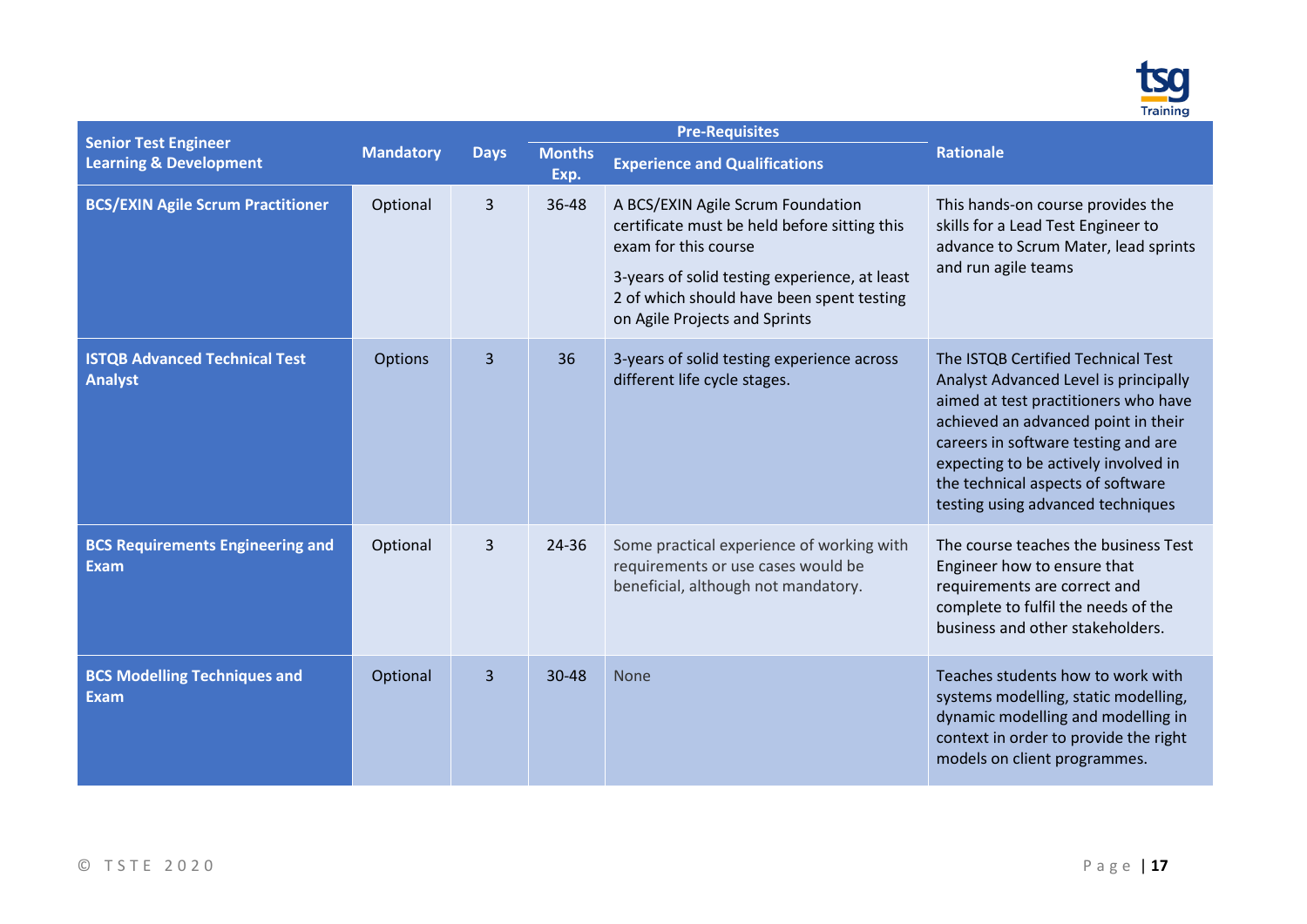

|                                                                  |                  |                |                       | <b>Pre-Requisites</b>                                                                                                                                                                                                                    |                                                                                                                                                                                                                                                                                                                     |
|------------------------------------------------------------------|------------------|----------------|-----------------------|------------------------------------------------------------------------------------------------------------------------------------------------------------------------------------------------------------------------------------------|---------------------------------------------------------------------------------------------------------------------------------------------------------------------------------------------------------------------------------------------------------------------------------------------------------------------|
| <b>Senior Test Engineer</b><br><b>Learning &amp; Development</b> | <b>Mandatory</b> | <b>Days</b>    | <b>Months</b><br>Exp. | <b>Experience and Qualifications</b>                                                                                                                                                                                                     | <b>Rationale</b>                                                                                                                                                                                                                                                                                                    |
| <b>BCS/EXIN Agile Scrum Practitioner</b>                         | Optional         | $\overline{3}$ | 36-48                 | A BCS/EXIN Agile Scrum Foundation<br>certificate must be held before sitting this<br>exam for this course<br>3-years of solid testing experience, at least<br>2 of which should have been spent testing<br>on Agile Projects and Sprints | This hands-on course provides the<br>skills for a Lead Test Engineer to<br>advance to Scrum Mater, lead sprints<br>and run agile teams                                                                                                                                                                              |
| <b>ISTQB Advanced Technical Test</b><br><b>Analyst</b>           | Options          | $\overline{3}$ | 36                    | 3-years of solid testing experience across<br>different life cycle stages.                                                                                                                                                               | The ISTQB Certified Technical Test<br>Analyst Advanced Level is principally<br>aimed at test practitioners who have<br>achieved an advanced point in their<br>careers in software testing and are<br>expecting to be actively involved in<br>the technical aspects of software<br>testing using advanced techniques |
| <b>BCS Requirements Engineering and</b><br><b>Exam</b>           | Optional         | $\overline{3}$ | 24-36                 | Some practical experience of working with<br>requirements or use cases would be<br>beneficial, although not mandatory.                                                                                                                   | The course teaches the business Test<br>Engineer how to ensure that<br>requirements are correct and<br>complete to fulfil the needs of the<br>business and other stakeholders.                                                                                                                                      |
| <b>BCS Modelling Techniques and</b><br><b>Exam</b>               | Optional         | 3              | $30 - 48$             | <b>None</b>                                                                                                                                                                                                                              | Teaches students how to work with<br>systems modelling, static modelling,<br>dynamic modelling and modelling in<br>context in order to provide the right<br>models on client programmes.                                                                                                                            |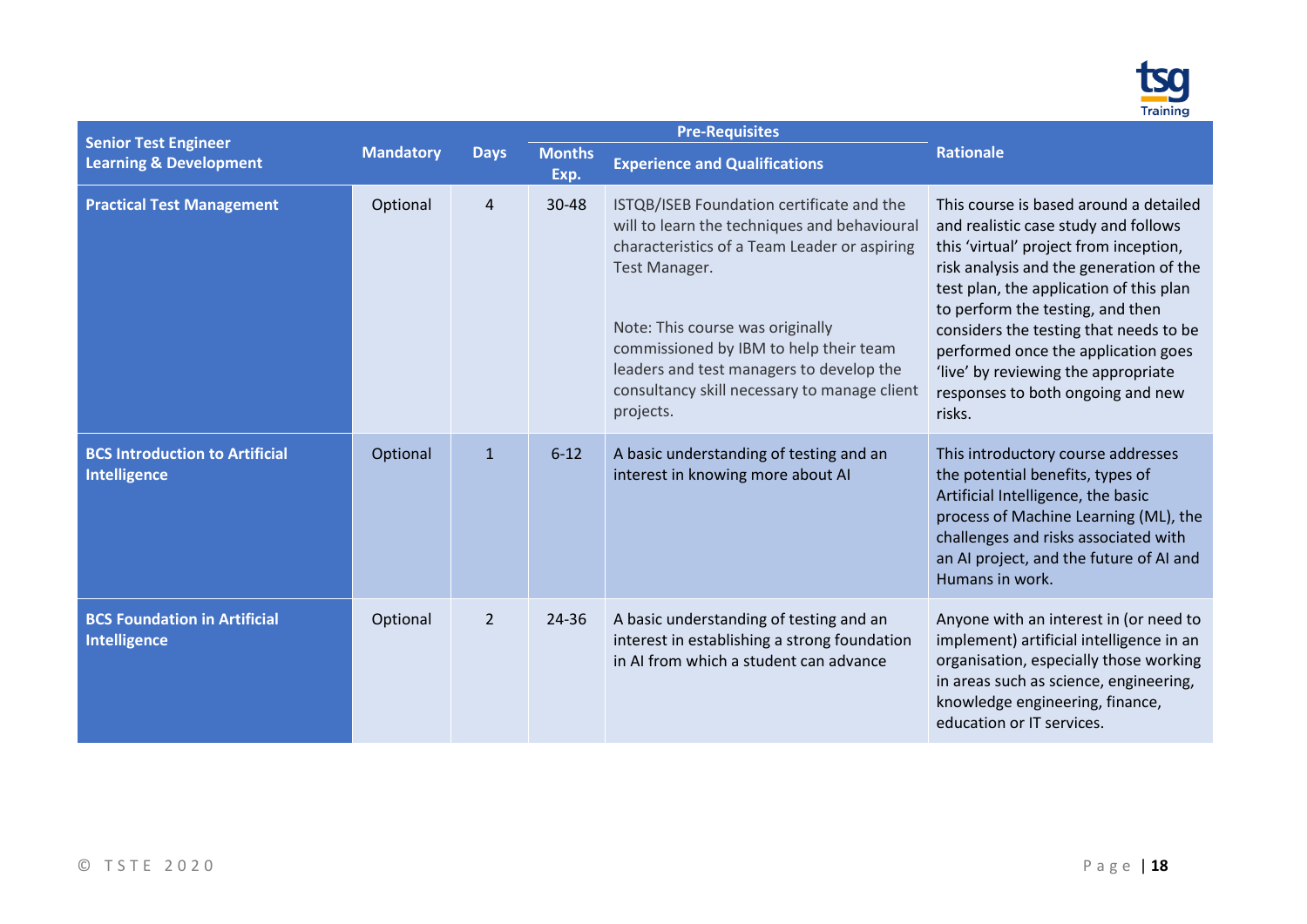

| <b>Senior Test Engineer</b>                                |                  |                |                       | <b>Pre-Requisites</b>                                                                                                                                                                                                                                                                                                                             |                                                                                                                                                                                                                                                                                                                                                                                                                           |  |  |  |  |  |
|------------------------------------------------------------|------------------|----------------|-----------------------|---------------------------------------------------------------------------------------------------------------------------------------------------------------------------------------------------------------------------------------------------------------------------------------------------------------------------------------------------|---------------------------------------------------------------------------------------------------------------------------------------------------------------------------------------------------------------------------------------------------------------------------------------------------------------------------------------------------------------------------------------------------------------------------|--|--|--|--|--|
| <b>Learning &amp; Development</b>                          | <b>Mandatory</b> | <b>Days</b>    | <b>Months</b><br>Exp. | <b>Experience and Qualifications</b>                                                                                                                                                                                                                                                                                                              | <b>Rationale</b>                                                                                                                                                                                                                                                                                                                                                                                                          |  |  |  |  |  |
| <b>Practical Test Management</b>                           | Optional         | 4              | 30-48                 | ISTQB/ISEB Foundation certificate and the<br>will to learn the techniques and behavioural<br>characteristics of a Team Leader or aspiring<br>Test Manager.<br>Note: This course was originally<br>commissioned by IBM to help their team<br>leaders and test managers to develop the<br>consultancy skill necessary to manage client<br>projects. | This course is based around a detailed<br>and realistic case study and follows<br>this 'virtual' project from inception,<br>risk analysis and the generation of the<br>test plan, the application of this plan<br>to perform the testing, and then<br>considers the testing that needs to be<br>performed once the application goes<br>'live' by reviewing the appropriate<br>responses to both ongoing and new<br>risks. |  |  |  |  |  |
| <b>BCS Introduction to Artificial</b><br>Intelligence      | Optional         | $\mathbf{1}$   | $6 - 12$              | A basic understanding of testing and an<br>interest in knowing more about AI                                                                                                                                                                                                                                                                      | This introductory course addresses<br>the potential benefits, types of<br>Artificial Intelligence, the basic<br>process of Machine Learning (ML), the<br>challenges and risks associated with<br>an AI project, and the future of AI and<br>Humans in work.                                                                                                                                                               |  |  |  |  |  |
| <b>BCS Foundation in Artificial</b><br><b>Intelligence</b> | Optional         | $\overline{2}$ | 24-36                 | A basic understanding of testing and an<br>interest in establishing a strong foundation<br>in AI from which a student can advance                                                                                                                                                                                                                 | Anyone with an interest in (or need to<br>implement) artificial intelligence in an<br>organisation, especially those working<br>in areas such as science, engineering,<br>knowledge engineering, finance,<br>education or IT services.                                                                                                                                                                                    |  |  |  |  |  |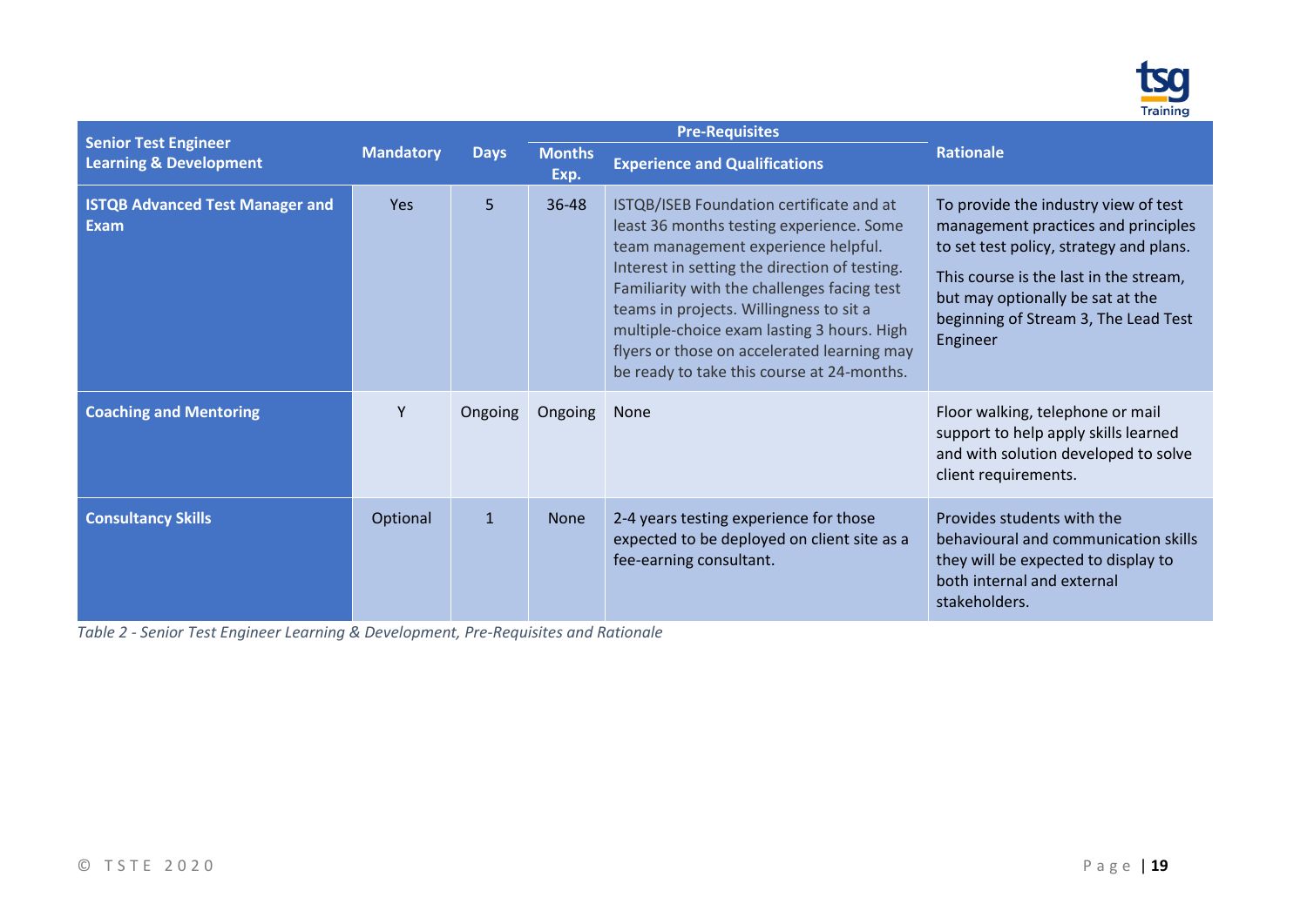

| <b>Senior Test Engineer</b>                           |                  |              |                       | <b>Pre-Requisites</b>                                                                                                                                                                                                                                                                                                                                                                                             |                                                                                                                                                                                                                                                          |
|-------------------------------------------------------|------------------|--------------|-----------------------|-------------------------------------------------------------------------------------------------------------------------------------------------------------------------------------------------------------------------------------------------------------------------------------------------------------------------------------------------------------------------------------------------------------------|----------------------------------------------------------------------------------------------------------------------------------------------------------------------------------------------------------------------------------------------------------|
| <b>Learning &amp; Development</b>                     | <b>Mandatory</b> | <b>Days</b>  | <b>Months</b><br>Exp. | <b>Experience and Qualifications</b>                                                                                                                                                                                                                                                                                                                                                                              | <b>Rationale</b>                                                                                                                                                                                                                                         |
| <b>ISTQB Advanced Test Manager and</b><br><b>Exam</b> | <b>Yes</b>       | 5            | 36-48                 | ISTQB/ISEB Foundation certificate and at<br>least 36 months testing experience. Some<br>team management experience helpful.<br>Interest in setting the direction of testing.<br>Familiarity with the challenges facing test<br>teams in projects. Willingness to sit a<br>multiple-choice exam lasting 3 hours. High<br>flyers or those on accelerated learning may<br>be ready to take this course at 24-months. | To provide the industry view of test<br>management practices and principles<br>to set test policy, strategy and plans.<br>This course is the last in the stream,<br>but may optionally be sat at the<br>beginning of Stream 3, The Lead Test<br>Engineer |
| <b>Coaching and Mentoring</b>                         | Y                | Ongoing      | Ongoing               | None                                                                                                                                                                                                                                                                                                                                                                                                              | Floor walking, telephone or mail<br>support to help apply skills learned<br>and with solution developed to solve<br>client requirements.                                                                                                                 |
| <b>Consultancy Skills</b>                             | Optional         | $\mathbf{1}$ | <b>None</b>           | 2-4 years testing experience for those<br>expected to be deployed on client site as a<br>fee-earning consultant.                                                                                                                                                                                                                                                                                                  | Provides students with the<br>behavioural and communication skills<br>they will be expected to display to<br>both internal and external<br>stakeholders.                                                                                                 |

*Table 2 - Senior Test Engineer Learning & Development, Pre-Requisites and Rationale*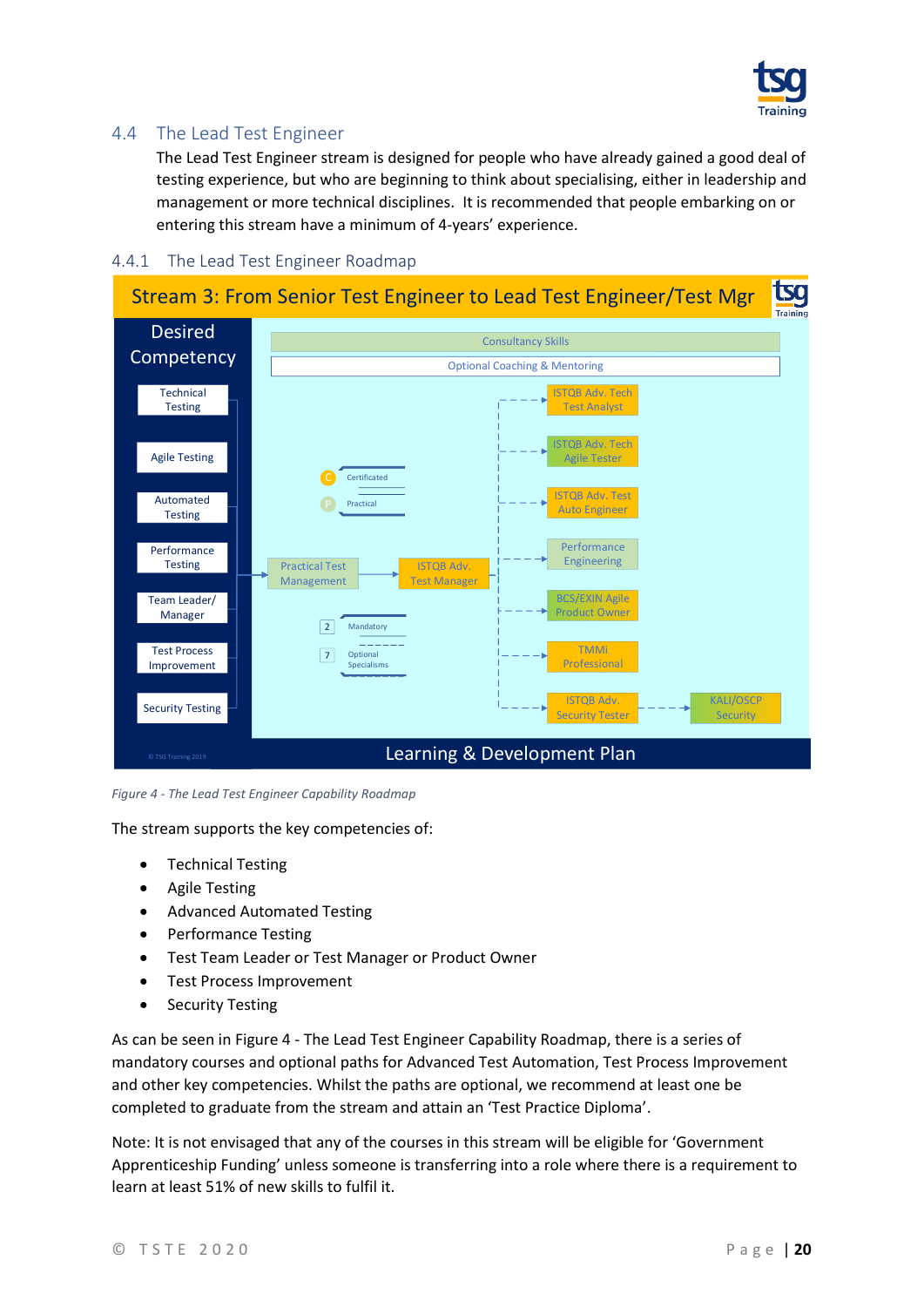

### <span id="page-19-3"></span><span id="page-19-0"></span>4.4 The Lead Test Engineer

The Lead Test Engineer stream is designed for people who have already gained a good deal of testing experience, but who are beginning to think about specialising, either in leadership and management or more technical disciplines. It is recommended that people embarking on or entering this stream have a minimum of 4-years' experience.

#### Desired **Competency** Automated **Testing** Learning & Development Plan **Technical** Testing Stream 3: From Senior Test Engineer to Lead Test Engineer/Test Mgr Team Leader/ Manager Security Testing ISTQB Adv. Test Auto Engineer ISTQB Adv. Test Manager Practical Test Management TMMi Professional C Test Process Improvement  $\boxed{2}$  $|7|$ Consultancy Skills Optional Coaching & Mentoring Performance Testing © TSG Training 2019 Agile Testing Certificated Practical ISTQB Adv. Security Tester Mandato **Optional** Specialisms ISTQB Adv. Tech Test Analyst **Performance** Engineering KALI/OSCP **Security** BCS/EXIN Agile roduct Owner ISTQB Adv. Tech Agile Tester

#### <span id="page-19-1"></span>4.4.1 The Lead Test Engineer Roadmap

<span id="page-19-2"></span>*Figure 4 - The Lead Test Engineer Capability Roadmap*

The stream supports the key competencies of:

- Technical Testing
- Agile Testing
- Advanced Automated Testing
- Performance Testing
- Test Team Leader or Test Manager or Product Owner
- Test Process Improvement
- Security Testing

As can be seen in Figure 4 - [The Lead Test Engineer](#page-19-2) Capability Roadmap, there is a series of mandatory courses and optional paths for Advanced Test Automation, Test Process Improvement and other key competencies. Whilst the paths are optional, we recommend at least one be completed to graduate from the stream and attain an 'Test Practice Diploma'.

Note: It is not envisaged that any of the courses in this stream will be eligible for 'Government Apprenticeship Funding' unless someone is transferring into a role where there is a requirement to learn at least 51% of new skills to fulfil it.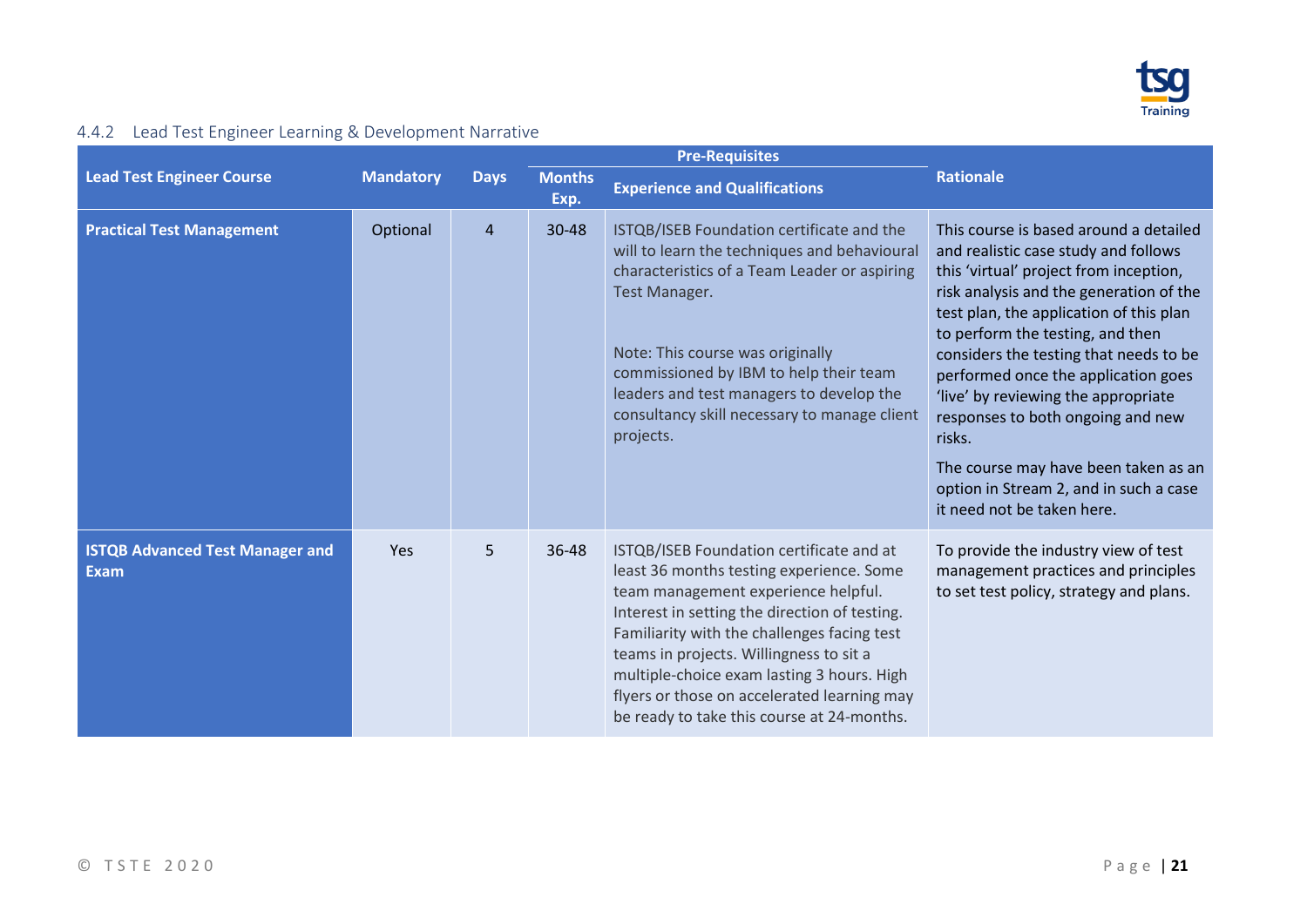

## 4.4.2 Lead Test Engineer Learning & Development Narrative

<span id="page-20-0"></span>

|                                                       |                  |                |                       | <b>Pre-Requisites</b>                                                                                                                                                                                                                                                                                                                                                                                             |                                                                                                                                                                                                                                                                                                                                                                                                                                                                                                                                           |  |  |  |  |  |
|-------------------------------------------------------|------------------|----------------|-----------------------|-------------------------------------------------------------------------------------------------------------------------------------------------------------------------------------------------------------------------------------------------------------------------------------------------------------------------------------------------------------------------------------------------------------------|-------------------------------------------------------------------------------------------------------------------------------------------------------------------------------------------------------------------------------------------------------------------------------------------------------------------------------------------------------------------------------------------------------------------------------------------------------------------------------------------------------------------------------------------|--|--|--|--|--|
| <b>Lead Test Engineer Course</b>                      | <b>Mandatory</b> | <b>Days</b>    | <b>Months</b><br>Exp. | <b>Experience and Qualifications</b>                                                                                                                                                                                                                                                                                                                                                                              | <b>Rationale</b>                                                                                                                                                                                                                                                                                                                                                                                                                                                                                                                          |  |  |  |  |  |
| <b>Practical Test Management</b>                      | Optional         | $\overline{4}$ | 30-48                 | ISTQB/ISEB Foundation certificate and the<br>will to learn the techniques and behavioural<br>characteristics of a Team Leader or aspiring<br><b>Test Manager.</b><br>Note: This course was originally<br>commissioned by IBM to help their team<br>leaders and test managers to develop the<br>consultancy skill necessary to manage client<br>projects.                                                          | This course is based around a detailed<br>and realistic case study and follows<br>this 'virtual' project from inception,<br>risk analysis and the generation of the<br>test plan, the application of this plan<br>to perform the testing, and then<br>considers the testing that needs to be<br>performed once the application goes<br>'live' by reviewing the appropriate<br>responses to both ongoing and new<br>risks.<br>The course may have been taken as an<br>option in Stream 2, and in such a case<br>it need not be taken here. |  |  |  |  |  |
| <b>ISTQB Advanced Test Manager and</b><br><b>Exam</b> | Yes              | 5              | 36-48                 | ISTQB/ISEB Foundation certificate and at<br>least 36 months testing experience. Some<br>team management experience helpful.<br>Interest in setting the direction of testing.<br>Familiarity with the challenges facing test<br>teams in projects. Willingness to sit a<br>multiple-choice exam lasting 3 hours. High<br>flyers or those on accelerated learning may<br>be ready to take this course at 24-months. | To provide the industry view of test<br>management practices and principles<br>to set test policy, strategy and plans.                                                                                                                                                                                                                                                                                                                                                                                                                    |  |  |  |  |  |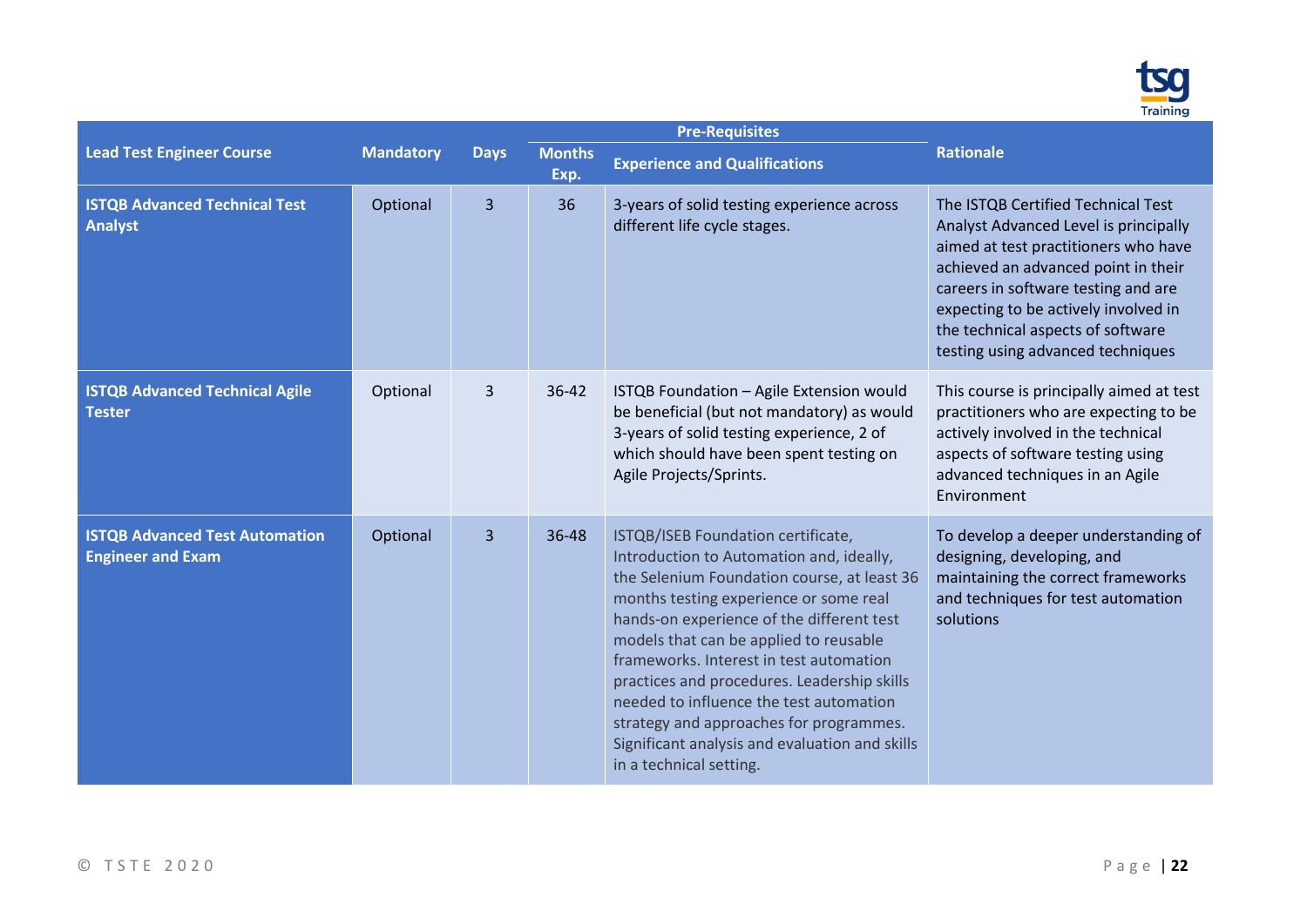

|                                                                   |                  |                |                       | <b>Pre-Requisites</b>                                                                                                                                                                                                                                                                                                                                                                                                                                                                                                       |                                                                                                                                                                                                                                                                                                                     |
|-------------------------------------------------------------------|------------------|----------------|-----------------------|-----------------------------------------------------------------------------------------------------------------------------------------------------------------------------------------------------------------------------------------------------------------------------------------------------------------------------------------------------------------------------------------------------------------------------------------------------------------------------------------------------------------------------|---------------------------------------------------------------------------------------------------------------------------------------------------------------------------------------------------------------------------------------------------------------------------------------------------------------------|
| <b>Lead Test Engineer Course</b>                                  | <b>Mandatory</b> | <b>Days</b>    | <b>Months</b><br>Exp. | <b>Experience and Qualifications</b>                                                                                                                                                                                                                                                                                                                                                                                                                                                                                        | <b>Rationale</b>                                                                                                                                                                                                                                                                                                    |
| <b>ISTQB Advanced Technical Test</b><br><b>Analyst</b>            | Optional         | 3              | 36                    | 3-years of solid testing experience across<br>different life cycle stages.                                                                                                                                                                                                                                                                                                                                                                                                                                                  | The ISTQB Certified Technical Test<br>Analyst Advanced Level is principally<br>aimed at test practitioners who have<br>achieved an advanced point in their<br>careers in software testing and are<br>expecting to be actively involved in<br>the technical aspects of software<br>testing using advanced techniques |
| <b>ISTQB Advanced Technical Agile</b><br><b>Tester</b>            | Optional         | 3              | 36-42                 | ISTQB Foundation - Agile Extension would<br>be beneficial (but not mandatory) as would<br>3-years of solid testing experience, 2 of<br>which should have been spent testing on<br>Agile Projects/Sprints.                                                                                                                                                                                                                                                                                                                   | This course is principally aimed at test<br>practitioners who are expecting to be<br>actively involved in the technical<br>aspects of software testing using<br>advanced techniques in an Agile<br>Environment                                                                                                      |
| <b>ISTQB Advanced Test Automation</b><br><b>Engineer and Exam</b> | Optional         | $\overline{3}$ | 36-48                 | ISTQB/ISEB Foundation certificate,<br>Introduction to Automation and, ideally,<br>the Selenium Foundation course, at least 36<br>months testing experience or some real<br>hands-on experience of the different test<br>models that can be applied to reusable<br>frameworks. Interest in test automation<br>practices and procedures. Leadership skills<br>needed to influence the test automation<br>strategy and approaches for programmes.<br>Significant analysis and evaluation and skills<br>in a technical setting. | To develop a deeper understanding of<br>designing, developing, and<br>maintaining the correct frameworks<br>and techniques for test automation<br>solutions                                                                                                                                                         |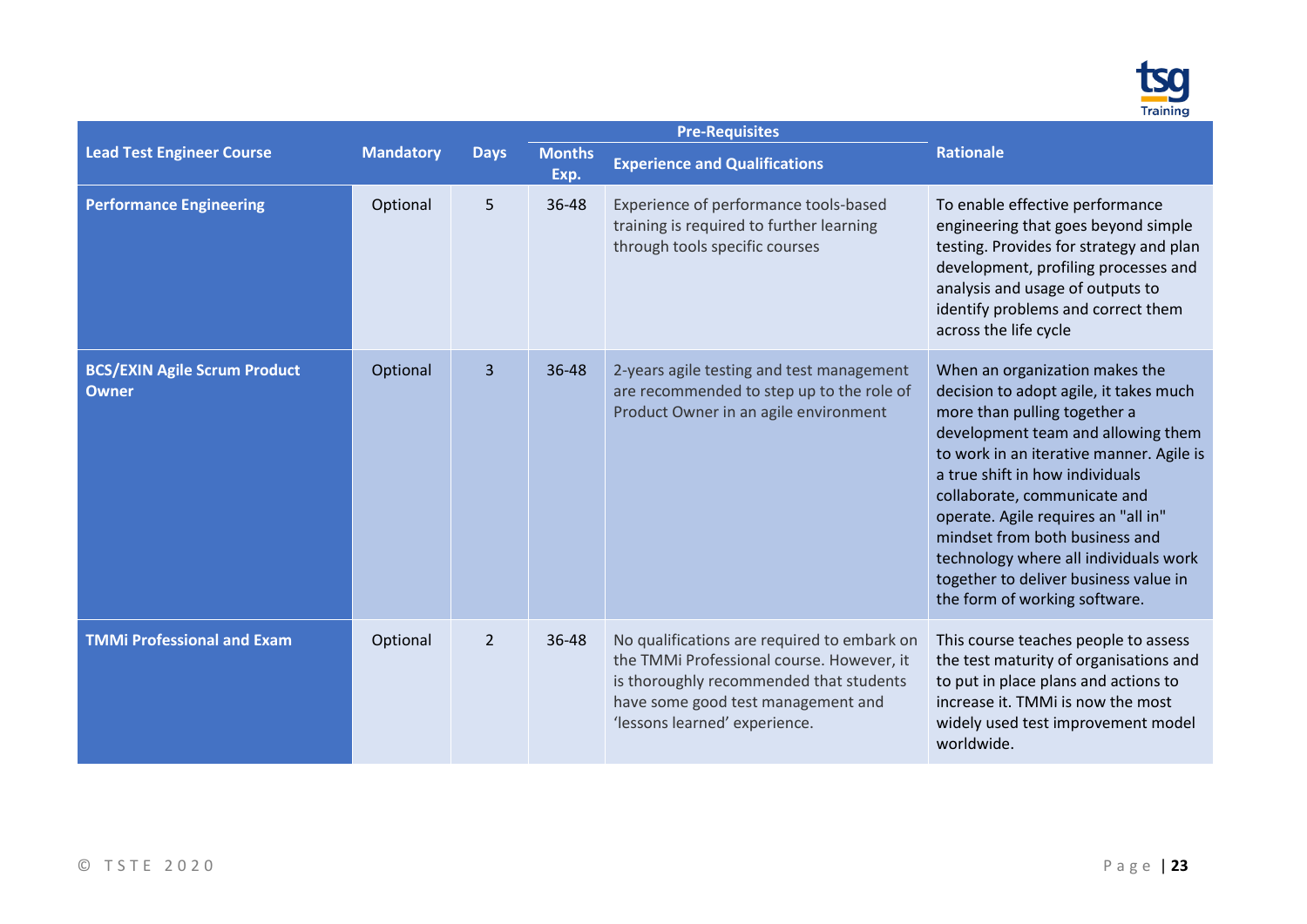

|                                                     |                  |                |                       | <b>Pre-Requisites</b>                                                                                                                                                                                      |                                                                                                                                                                                                                                                                                                                                                                                                                                                           |
|-----------------------------------------------------|------------------|----------------|-----------------------|------------------------------------------------------------------------------------------------------------------------------------------------------------------------------------------------------------|-----------------------------------------------------------------------------------------------------------------------------------------------------------------------------------------------------------------------------------------------------------------------------------------------------------------------------------------------------------------------------------------------------------------------------------------------------------|
| <b>Lead Test Engineer Course</b>                    | <b>Mandatory</b> | <b>Days</b>    | <b>Months</b><br>Exp. | <b>Experience and Qualifications</b>                                                                                                                                                                       | <b>Rationale</b>                                                                                                                                                                                                                                                                                                                                                                                                                                          |
| <b>Performance Engineering</b>                      | Optional         | 5              | 36-48                 | Experience of performance tools-based<br>training is required to further learning<br>through tools specific courses                                                                                        | To enable effective performance<br>engineering that goes beyond simple<br>testing. Provides for strategy and plan<br>development, profiling processes and<br>analysis and usage of outputs to<br>identify problems and correct them<br>across the life cycle                                                                                                                                                                                              |
| <b>BCS/EXIN Agile Scrum Product</b><br><b>Owner</b> | Optional         | 3              | 36-48                 | 2-years agile testing and test management<br>are recommended to step up to the role of<br>Product Owner in an agile environment                                                                            | When an organization makes the<br>decision to adopt agile, it takes much<br>more than pulling together a<br>development team and allowing them<br>to work in an iterative manner. Agile is<br>a true shift in how individuals<br>collaborate, communicate and<br>operate. Agile requires an "all in"<br>mindset from both business and<br>technology where all individuals work<br>together to deliver business value in<br>the form of working software. |
| <b>TMMi Professional and Exam</b>                   | Optional         | $\overline{2}$ | 36-48                 | No qualifications are required to embark on<br>the TMMi Professional course. However, it<br>is thoroughly recommended that students<br>have some good test management and<br>'lessons learned' experience. | This course teaches people to assess<br>the test maturity of organisations and<br>to put in place plans and actions to<br>increase it. TMMi is now the most<br>widely used test improvement model<br>worldwide.                                                                                                                                                                                                                                           |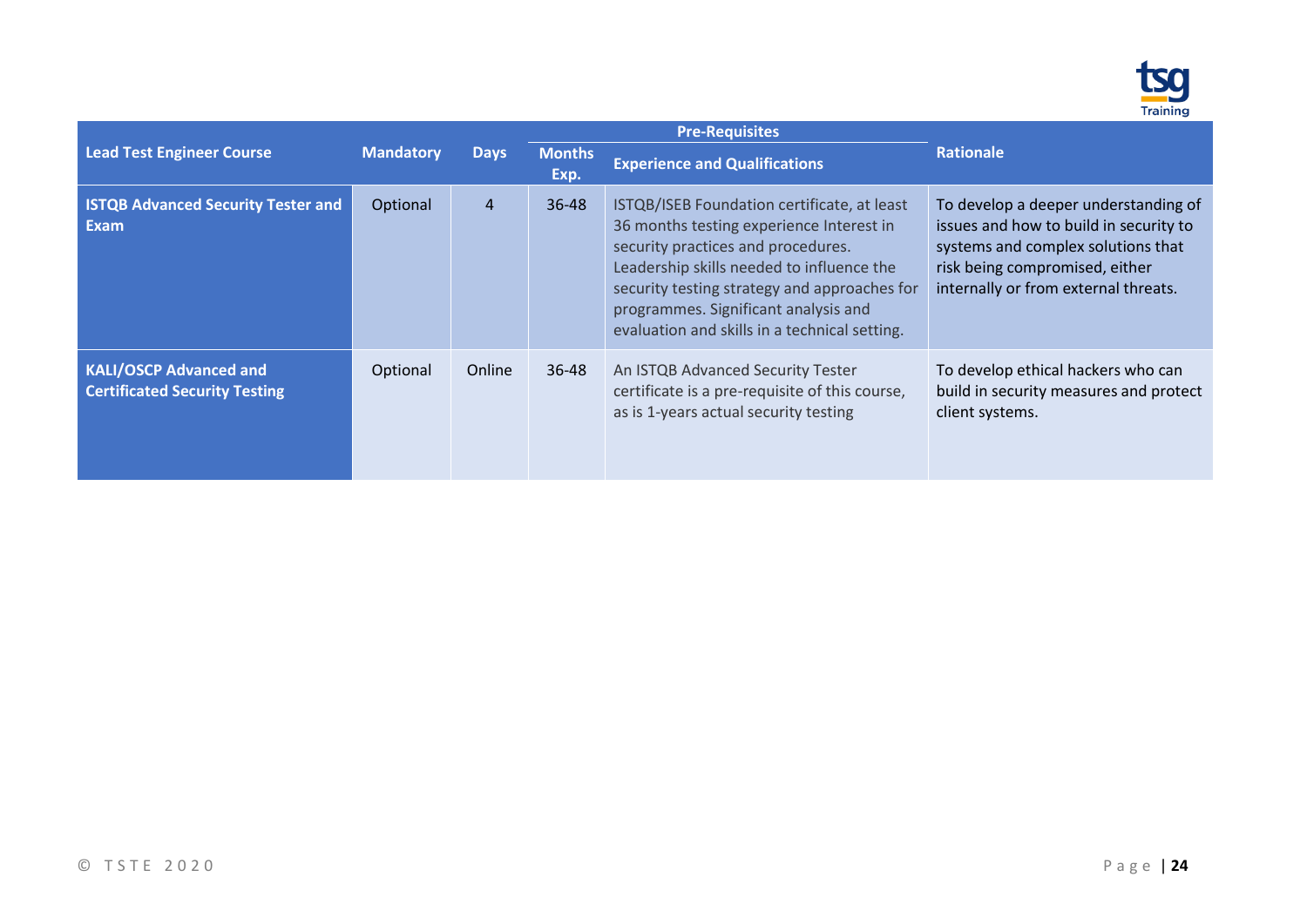

|                                                                       |                  |                |                       | <b>Pre-Requisites</b>                                                                                                                                                                                                                                                                                               |                                                                                                                                                                                                |
|-----------------------------------------------------------------------|------------------|----------------|-----------------------|---------------------------------------------------------------------------------------------------------------------------------------------------------------------------------------------------------------------------------------------------------------------------------------------------------------------|------------------------------------------------------------------------------------------------------------------------------------------------------------------------------------------------|
| <b>Lead Test Engineer Course</b>                                      | <b>Mandatory</b> | <b>Days</b>    | <b>Months</b><br>Exp. | <b>Experience and Qualifications</b>                                                                                                                                                                                                                                                                                | <b>Rationale</b>                                                                                                                                                                               |
| <b>ISTQB Advanced Security Tester and</b><br>Exam                     | Optional         | $\overline{4}$ | $36 - 48$             | ISTQB/ISEB Foundation certificate, at least<br>36 months testing experience Interest in<br>security practices and procedures.<br>Leadership skills needed to influence the<br>security testing strategy and approaches for<br>programmes. Significant analysis and<br>evaluation and skills in a technical setting. | To develop a deeper understanding of<br>issues and how to build in security to<br>systems and complex solutions that<br>risk being compromised, either<br>internally or from external threats. |
| <b>KALI/OSCP Advanced and</b><br><b>Certificated Security Testing</b> | Optional         | Online         | 36-48                 | An ISTQB Advanced Security Tester<br>certificate is a pre-requisite of this course,<br>as is 1-years actual security testing                                                                                                                                                                                        | To develop ethical hackers who can<br>build in security measures and protect<br>client systems.                                                                                                |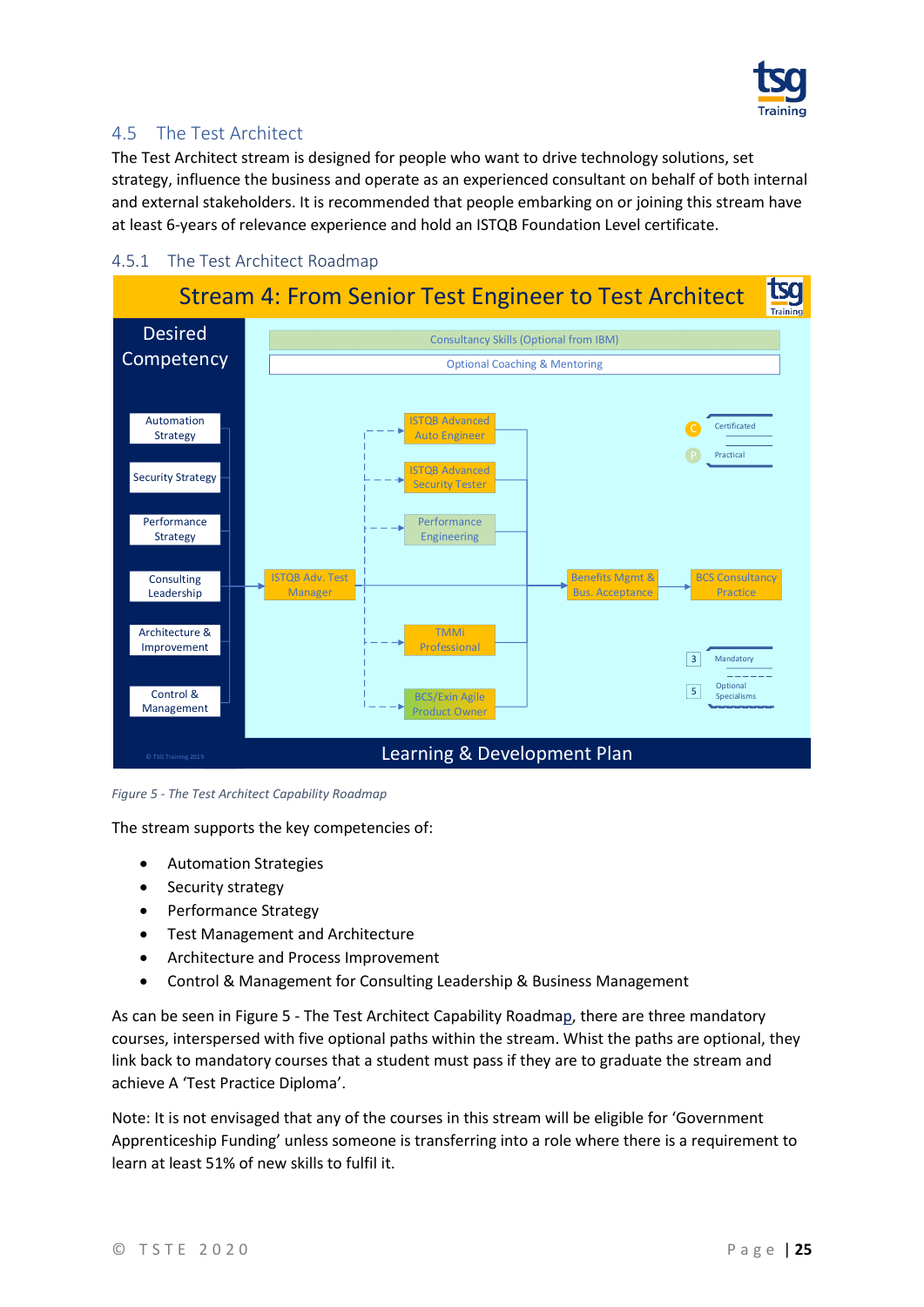

### <span id="page-24-0"></span>4.5 The Test Architect

The Test Architect stream is designed for people who want to drive technology solutions, set strategy, influence the business and operate as an experienced consultant on behalf of both internal and external stakeholders. It is recommended that people embarking on or joining this stream have at least 6-years of relevance experience and hold an ISTQB Foundation Level certificate.



#### <span id="page-24-1"></span>4.5.1 The Test Architect Roadmap

<span id="page-24-2"></span>*Figure 5 - The Test Architect Capability Roadmap*

The stream supports the key competencies of:

- Automation Strategies
- Security strategy
- Performance Strategy
- Test Management and Architecture
- Architecture and Process Improvement
- Control & Management for Consulting Leadership & Business Management

As can be seen in Figure 5 - [The Test Architect](#page-24-2) Capability Roadmap, there are three mandatory courses, interspersed with five optional paths within the stream. Whist the paths are optional, they link back to mandatory courses that a student must pass if they are to graduate the stream and achieve A 'Test Practice Diploma'.

Note: It is not envisaged that any of the courses in this stream will be eligible for 'Government Apprenticeship Funding' unless someone is transferring into a role where there is a requirement to learn at least 51% of new skills to fulfil it.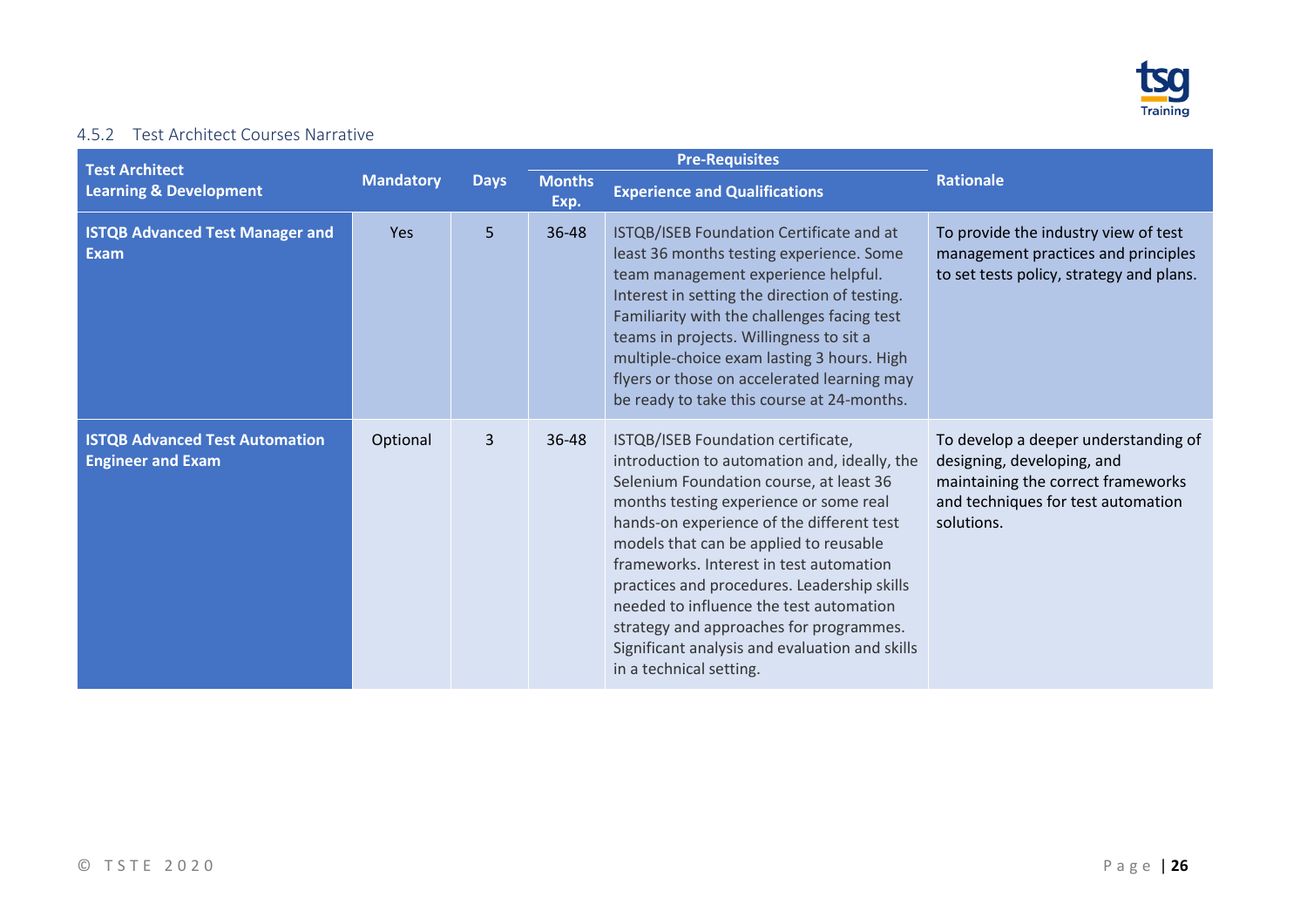

#### 4.5.2 Test Architect Courses Narrative

<span id="page-25-0"></span>

|                                                                   |                  |             |                       | <b>Pre-Requisites</b>                                                                                                                                                                                                                                                                                                                                                                                                                                                                                                       |                                                                                                                                                              |
|-------------------------------------------------------------------|------------------|-------------|-----------------------|-----------------------------------------------------------------------------------------------------------------------------------------------------------------------------------------------------------------------------------------------------------------------------------------------------------------------------------------------------------------------------------------------------------------------------------------------------------------------------------------------------------------------------|--------------------------------------------------------------------------------------------------------------------------------------------------------------|
| <b>Test Architect</b><br><b>Learning &amp; Development</b>        | <b>Mandatory</b> | <b>Days</b> | <b>Months</b><br>Exp. | <b>Experience and Qualifications</b>                                                                                                                                                                                                                                                                                                                                                                                                                                                                                        | <b>Rationale</b>                                                                                                                                             |
| <b>ISTQB Advanced Test Manager and</b><br><b>Exam</b>             | <b>Yes</b>       | 5           | 36-48                 | ISTQB/ISEB Foundation Certificate and at<br>least 36 months testing experience. Some<br>team management experience helpful.<br>Interest in setting the direction of testing.<br>Familiarity with the challenges facing test<br>teams in projects. Willingness to sit a<br>multiple-choice exam lasting 3 hours. High<br>flyers or those on accelerated learning may<br>be ready to take this course at 24-months.                                                                                                           | To provide the industry view of test<br>management practices and principles<br>to set tests policy, strategy and plans.                                      |
| <b>ISTQB Advanced Test Automation</b><br><b>Engineer and Exam</b> | Optional         | 3           | 36-48                 | ISTQB/ISEB Foundation certificate,<br>introduction to automation and, ideally, the<br>Selenium Foundation course, at least 36<br>months testing experience or some real<br>hands-on experience of the different test<br>models that can be applied to reusable<br>frameworks. Interest in test automation<br>practices and procedures. Leadership skills<br>needed to influence the test automation<br>strategy and approaches for programmes.<br>Significant analysis and evaluation and skills<br>in a technical setting. | To develop a deeper understanding of<br>designing, developing, and<br>maintaining the correct frameworks<br>and techniques for test automation<br>solutions. |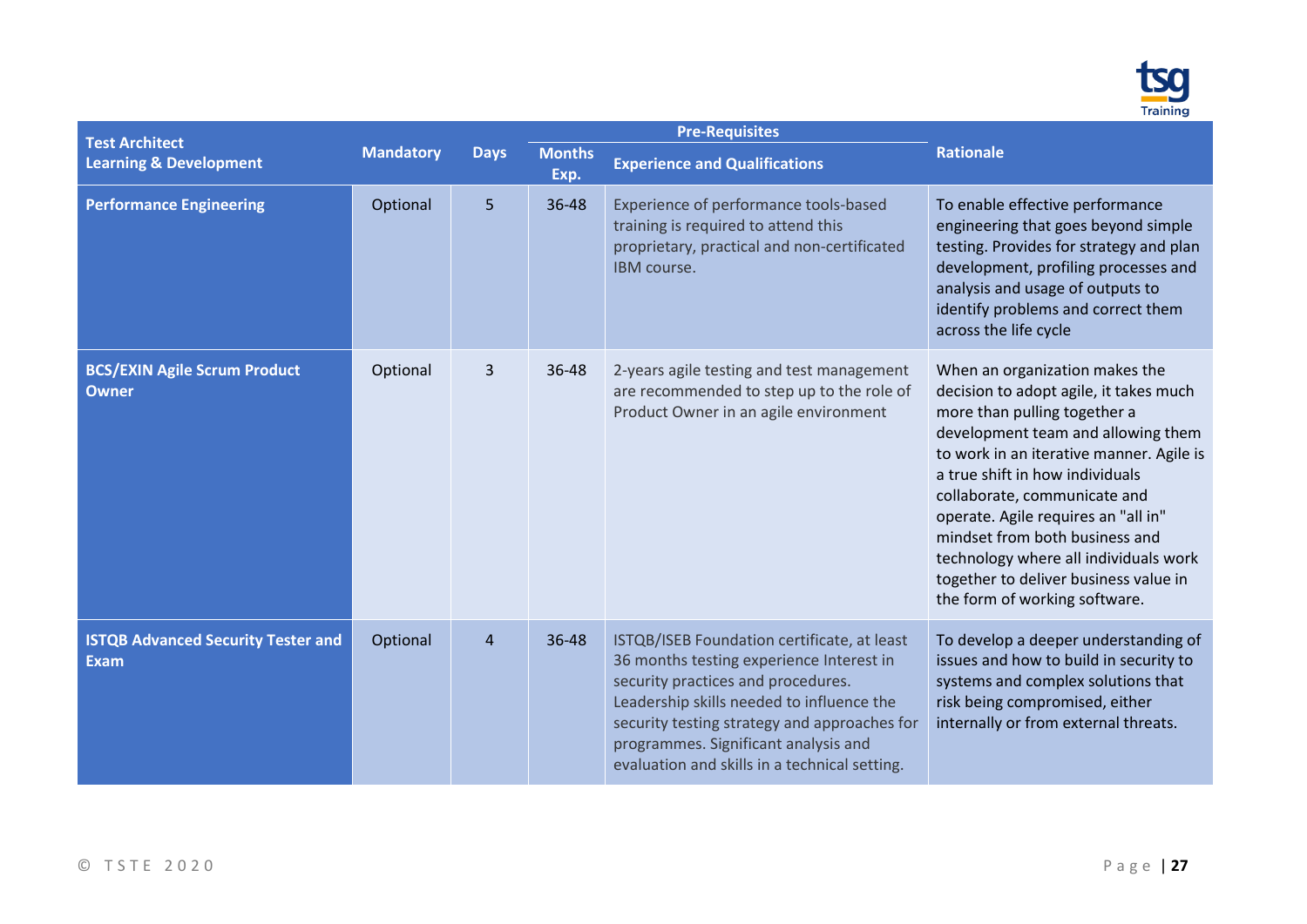

| <b>Test Architect</b>                                    |                  |                |                       | <b>Pre-Requisites</b>                                                                                                                                                                                                                                                                                               |                                                                                                                                                                                                                                                                                                                                                                                                                                                           |
|----------------------------------------------------------|------------------|----------------|-----------------------|---------------------------------------------------------------------------------------------------------------------------------------------------------------------------------------------------------------------------------------------------------------------------------------------------------------------|-----------------------------------------------------------------------------------------------------------------------------------------------------------------------------------------------------------------------------------------------------------------------------------------------------------------------------------------------------------------------------------------------------------------------------------------------------------|
| <b>Learning &amp; Development</b>                        | <b>Mandatory</b> | <b>Days</b>    | <b>Months</b><br>Exp. | <b>Experience and Qualifications</b>                                                                                                                                                                                                                                                                                | <b>Rationale</b>                                                                                                                                                                                                                                                                                                                                                                                                                                          |
| <b>Performance Engineering</b>                           | Optional         | 5              | 36-48                 | Experience of performance tools-based<br>training is required to attend this<br>proprietary, practical and non-certificated<br>IBM course.                                                                                                                                                                          | To enable effective performance<br>engineering that goes beyond simple<br>testing. Provides for strategy and plan<br>development, profiling processes and<br>analysis and usage of outputs to<br>identify problems and correct them<br>across the life cycle                                                                                                                                                                                              |
| <b>BCS/EXIN Agile Scrum Product</b><br><b>Owner</b>      | Optional         | 3              | 36-48                 | 2-years agile testing and test management<br>are recommended to step up to the role of<br>Product Owner in an agile environment                                                                                                                                                                                     | When an organization makes the<br>decision to adopt agile, it takes much<br>more than pulling together a<br>development team and allowing them<br>to work in an iterative manner. Agile is<br>a true shift in how individuals<br>collaborate, communicate and<br>operate. Agile requires an "all in"<br>mindset from both business and<br>technology where all individuals work<br>together to deliver business value in<br>the form of working software. |
| <b>ISTQB Advanced Security Tester and</b><br><b>Exam</b> | Optional         | $\overline{4}$ | 36-48                 | ISTQB/ISEB Foundation certificate, at least<br>36 months testing experience Interest in<br>security practices and procedures.<br>Leadership skills needed to influence the<br>security testing strategy and approaches for<br>programmes. Significant analysis and<br>evaluation and skills in a technical setting. | To develop a deeper understanding of<br>issues and how to build in security to<br>systems and complex solutions that<br>risk being compromised, either<br>internally or from external threats.                                                                                                                                                                                                                                                            |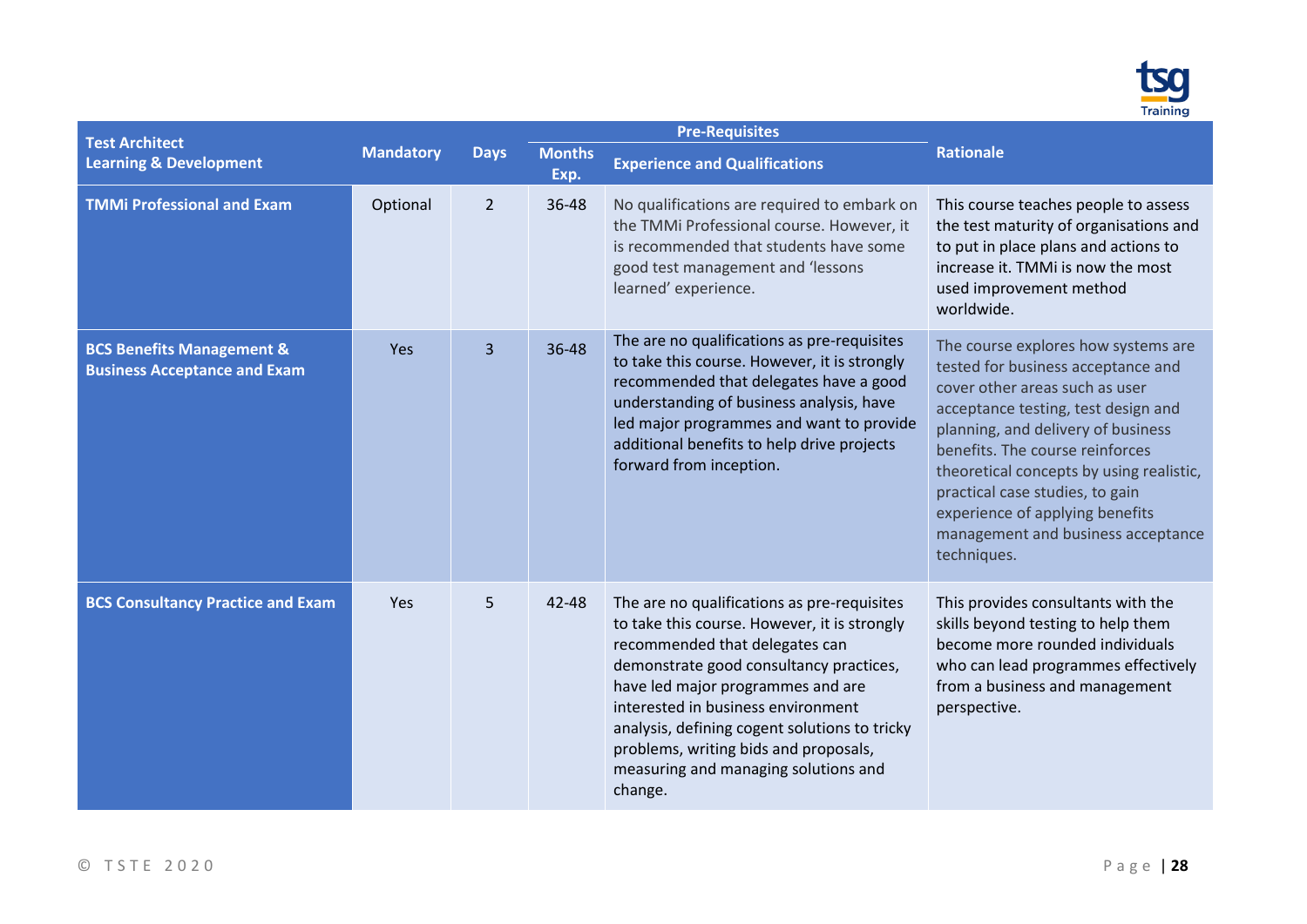

| <b>Test Architect</b>                                                       |                  |                |                       | <b>Pre-Requisites</b>                                                                                                                                                                                                                                                                                                                                                                            |                                                                                                                                                                                                                                                                                                                                                                                                    |
|-----------------------------------------------------------------------------|------------------|----------------|-----------------------|--------------------------------------------------------------------------------------------------------------------------------------------------------------------------------------------------------------------------------------------------------------------------------------------------------------------------------------------------------------------------------------------------|----------------------------------------------------------------------------------------------------------------------------------------------------------------------------------------------------------------------------------------------------------------------------------------------------------------------------------------------------------------------------------------------------|
| <b>Learning &amp; Development</b>                                           | <b>Mandatory</b> | <b>Days</b>    | <b>Months</b><br>Exp. | <b>Experience and Qualifications</b>                                                                                                                                                                                                                                                                                                                                                             | <b>Rationale</b>                                                                                                                                                                                                                                                                                                                                                                                   |
| <b>TMMi Professional and Exam</b>                                           | Optional         | $\overline{2}$ | 36-48                 | No qualifications are required to embark on<br>the TMMi Professional course. However, it<br>is recommended that students have some<br>good test management and 'lessons<br>learned' experience.                                                                                                                                                                                                  | This course teaches people to assess<br>the test maturity of organisations and<br>to put in place plans and actions to<br>increase it. TMMI is now the most<br>used improvement method<br>worldwide.                                                                                                                                                                                               |
| <b>BCS Benefits Management &amp;</b><br><b>Business Acceptance and Exam</b> | Yes              | 3              | 36-48                 | The are no qualifications as pre-requisites<br>to take this course. However, it is strongly<br>recommended that delegates have a good<br>understanding of business analysis, have<br>led major programmes and want to provide<br>additional benefits to help drive projects<br>forward from inception.                                                                                           | The course explores how systems are<br>tested for business acceptance and<br>cover other areas such as user<br>acceptance testing, test design and<br>planning, and delivery of business<br>benefits. The course reinforces<br>theoretical concepts by using realistic,<br>practical case studies, to gain<br>experience of applying benefits<br>management and business acceptance<br>techniques. |
| <b>BCS Consultancy Practice and Exam</b>                                    | Yes              | 5              | 42-48                 | The are no qualifications as pre-requisites<br>to take this course. However, it is strongly<br>recommended that delegates can<br>demonstrate good consultancy practices,<br>have led major programmes and are<br>interested in business environment<br>analysis, defining cogent solutions to tricky<br>problems, writing bids and proposals,<br>measuring and managing solutions and<br>change. | This provides consultants with the<br>skills beyond testing to help them<br>become more rounded individuals<br>who can lead programmes effectively<br>from a business and management<br>perspective.                                                                                                                                                                                               |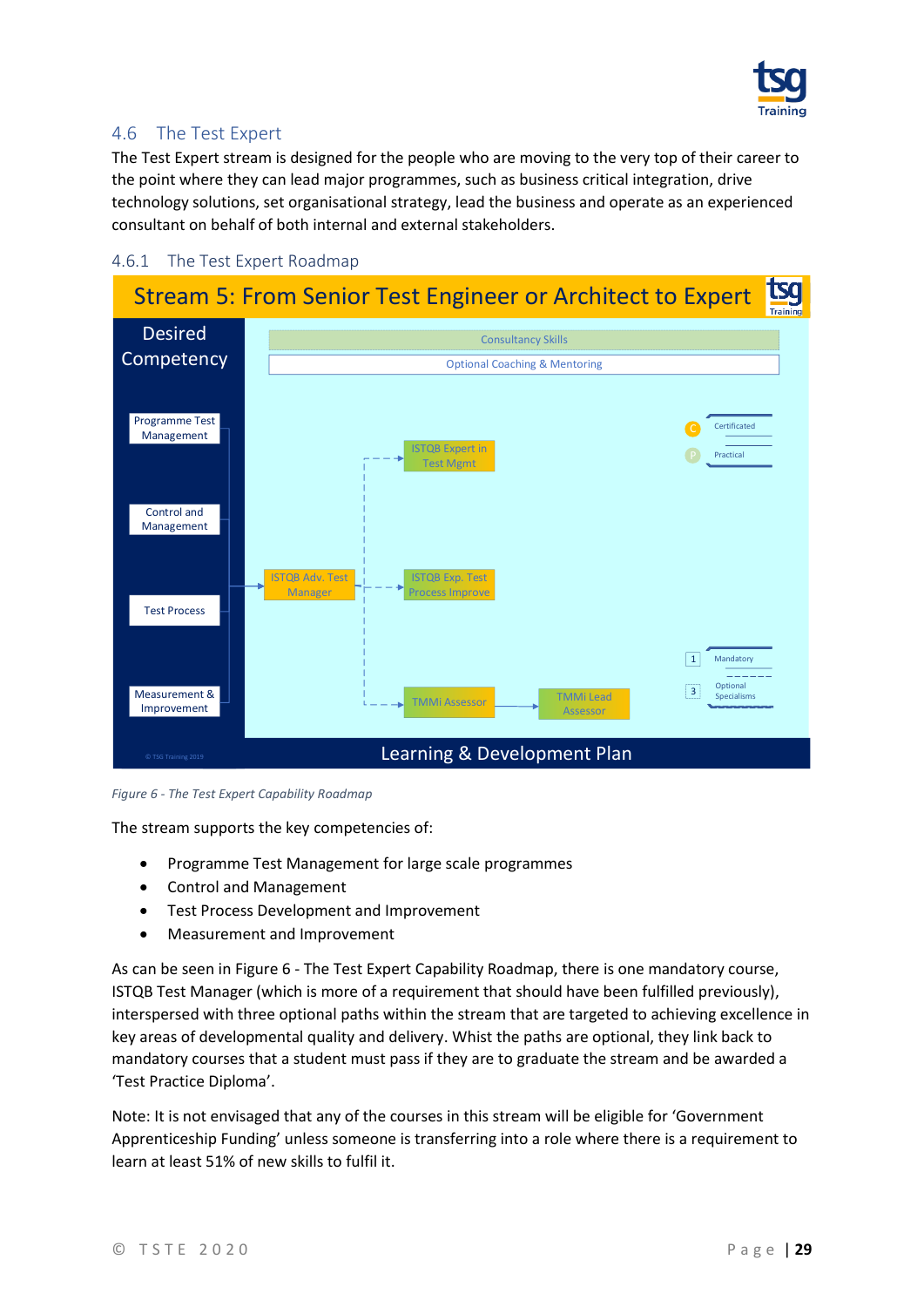

### <span id="page-28-0"></span>4.6 The Test Expert

The Test Expert stream is designed for the people who are moving to the very top of their career to the point where they can lead major programmes, such as business critical integration, drive technology solutions, set organisational strategy, lead the business and operate as an experienced consultant on behalf of both internal and external stakeholders.

#### <span id="page-28-1"></span>4.6.1 The Test Expert Roadmap



<span id="page-28-2"></span>*Figure 6 - The Test Expert Capability Roadmap*

The stream supports the key competencies of:

- Programme Test Management for large scale programmes
- Control and Management
- Test Process Development and Improvement
- Measurement and Improvement

As can be seen in Figure 6 - The Test Expert [Capability Roadmap,](#page-28-2) there is one mandatory course, ISTQB Test Manager (which is more of a requirement that should have been fulfilled previously), interspersed with three optional paths within the stream that are targeted to achieving excellence in key areas of developmental quality and delivery. Whist the paths are optional, they link back to mandatory courses that a student must pass if they are to graduate the stream and be awarded a 'Test Practice Diploma'.

Note: It is not envisaged that any of the courses in this stream will be eligible for 'Government Apprenticeship Funding' unless someone is transferring into a role where there is a requirement to learn at least 51% of new skills to fulfil it.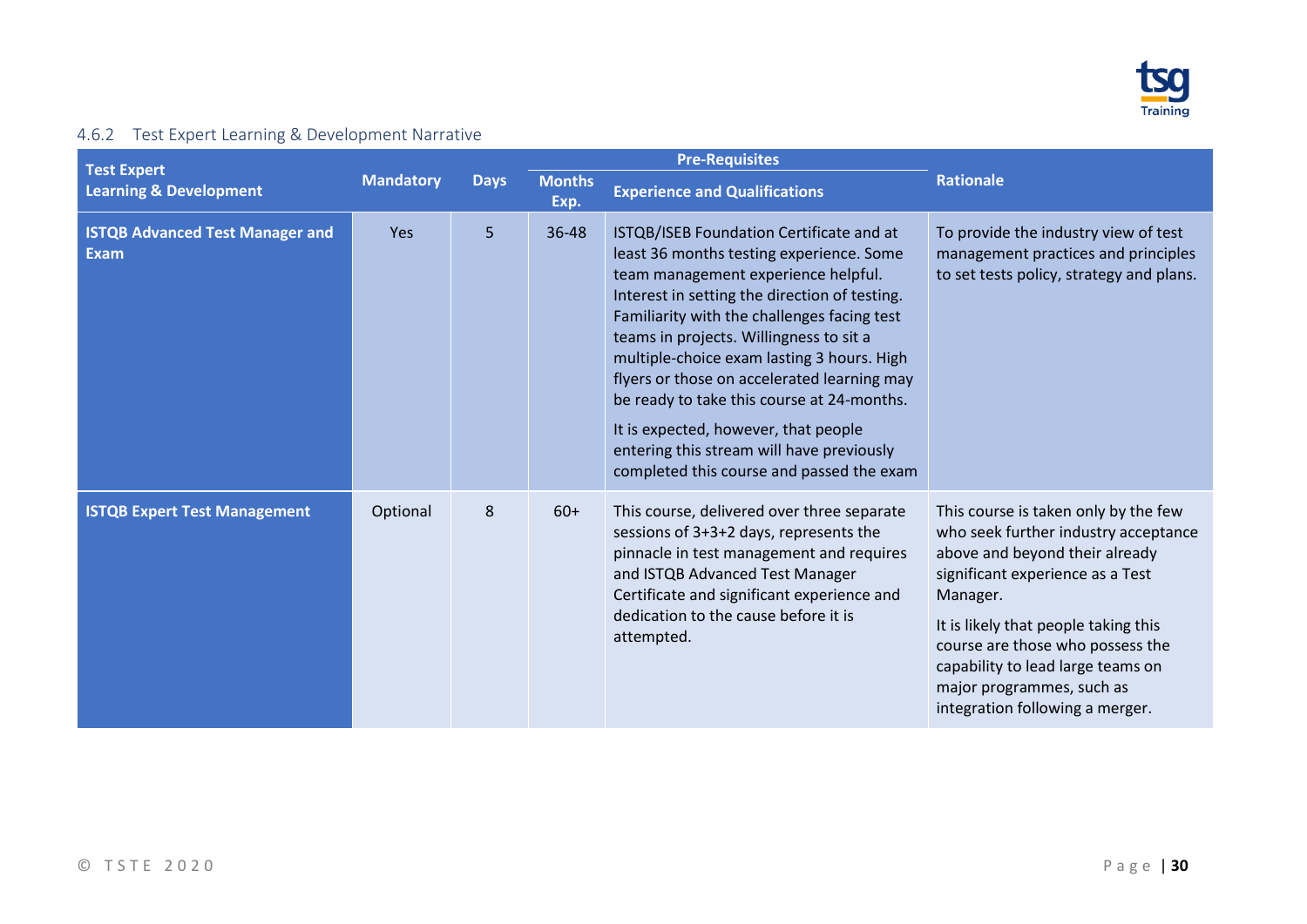

## 4.6.2 Test Expert Learning & Development Narrative

<span id="page-29-0"></span>

|                                                         |                  |             |                       | <b>Pre-Requisites</b>                                                                                                                                                                                                                                                                                                                                                                                                                                                                                                                               |                                                                                                                                                                                                                                                                                                                                                 |  |  |  |  |  |
|---------------------------------------------------------|------------------|-------------|-----------------------|-----------------------------------------------------------------------------------------------------------------------------------------------------------------------------------------------------------------------------------------------------------------------------------------------------------------------------------------------------------------------------------------------------------------------------------------------------------------------------------------------------------------------------------------------------|-------------------------------------------------------------------------------------------------------------------------------------------------------------------------------------------------------------------------------------------------------------------------------------------------------------------------------------------------|--|--|--|--|--|
| <b>Test Expert</b><br><b>Learning &amp; Development</b> | <b>Mandatory</b> | <b>Days</b> | <b>Months</b><br>Exp. | <b>Experience and Qualifications</b>                                                                                                                                                                                                                                                                                                                                                                                                                                                                                                                | <b>Rationale</b>                                                                                                                                                                                                                                                                                                                                |  |  |  |  |  |
| <b>ISTQB Advanced Test Manager and</b><br><b>Exam</b>   | Yes              | 5           | 36-48                 | ISTQB/ISEB Foundation Certificate and at<br>least 36 months testing experience. Some<br>team management experience helpful.<br>Interest in setting the direction of testing.<br>Familiarity with the challenges facing test<br>teams in projects. Willingness to sit a<br>multiple-choice exam lasting 3 hours. High<br>flyers or those on accelerated learning may<br>be ready to take this course at 24-months.<br>It is expected, however, that people<br>entering this stream will have previously<br>completed this course and passed the exam | To provide the industry view of test<br>management practices and principles<br>to set tests policy, strategy and plans.                                                                                                                                                                                                                         |  |  |  |  |  |
| <b>ISTQB Expert Test Management</b>                     | Optional         | 8           | $60+$                 | This course, delivered over three separate<br>sessions of 3+3+2 days, represents the<br>pinnacle in test management and requires<br>and ISTQB Advanced Test Manager<br>Certificate and significant experience and<br>dedication to the cause before it is<br>attempted.                                                                                                                                                                                                                                                                             | This course is taken only by the few<br>who seek further industry acceptance<br>above and beyond their already<br>significant experience as a Test<br>Manager.<br>It is likely that people taking this<br>course are those who possess the<br>capability to lead large teams on<br>major programmes, such as<br>integration following a merger. |  |  |  |  |  |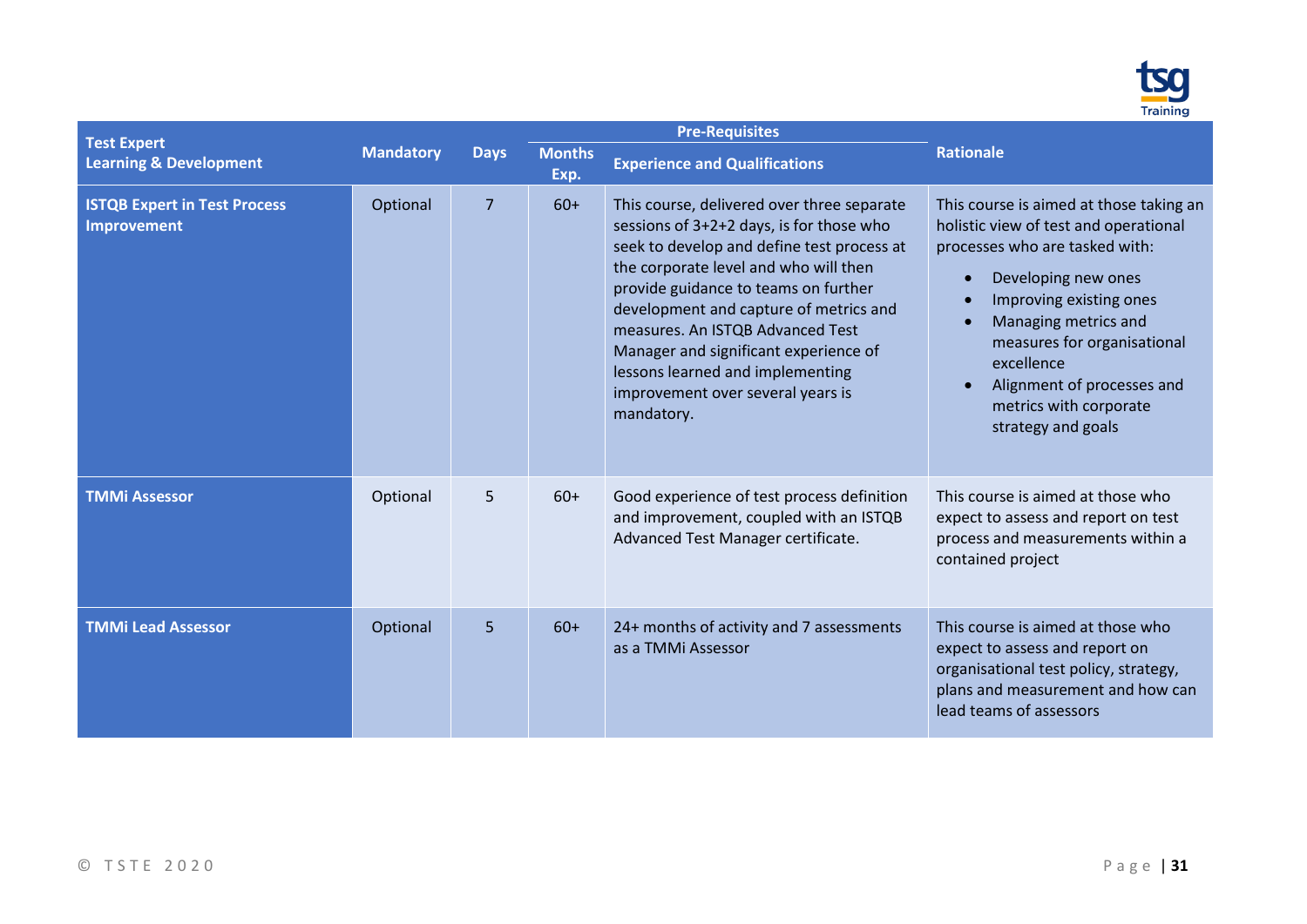

| <b>Test Expert</b>                                 |                  |                |                       | <b>Pre-Requisites</b>                                                                                                                                                                                                                                                                                                                                                                                                               |                                                                                                                                                                                                                                                                                                                         |
|----------------------------------------------------|------------------|----------------|-----------------------|-------------------------------------------------------------------------------------------------------------------------------------------------------------------------------------------------------------------------------------------------------------------------------------------------------------------------------------------------------------------------------------------------------------------------------------|-------------------------------------------------------------------------------------------------------------------------------------------------------------------------------------------------------------------------------------------------------------------------------------------------------------------------|
| <b>Learning &amp; Development</b>                  | <b>Mandatory</b> | <b>Days</b>    | <b>Months</b><br>Exp. | <b>Experience and Qualifications</b>                                                                                                                                                                                                                                                                                                                                                                                                | <b>Rationale</b>                                                                                                                                                                                                                                                                                                        |
| <b>ISTQB Expert in Test Process</b><br>Improvement | Optional         | $\overline{7}$ | $60+$                 | This course, delivered over three separate<br>sessions of 3+2+2 days, is for those who<br>seek to develop and define test process at<br>the corporate level and who will then<br>provide guidance to teams on further<br>development and capture of metrics and<br>measures. An ISTQB Advanced Test<br>Manager and significant experience of<br>lessons learned and implementing<br>improvement over several years is<br>mandatory. | This course is aimed at those taking an<br>holistic view of test and operational<br>processes who are tasked with:<br>Developing new ones<br>Improving existing ones<br>Managing metrics and<br>measures for organisational<br>excellence<br>Alignment of processes and<br>metrics with corporate<br>strategy and goals |
| <b>TMMi Assessor</b>                               | Optional         | 5              | $60+$                 | Good experience of test process definition<br>and improvement, coupled with an ISTQB<br>Advanced Test Manager certificate.                                                                                                                                                                                                                                                                                                          | This course is aimed at those who<br>expect to assess and report on test<br>process and measurements within a<br>contained project                                                                                                                                                                                      |
| <b>TMMi Lead Assessor</b>                          | Optional         | 5              | $60+$                 | 24+ months of activity and 7 assessments<br>as a TMMi Assessor                                                                                                                                                                                                                                                                                                                                                                      | This course is aimed at those who<br>expect to assess and report on<br>organisational test policy, strategy,<br>plans and measurement and how can<br>lead teams of assessors                                                                                                                                            |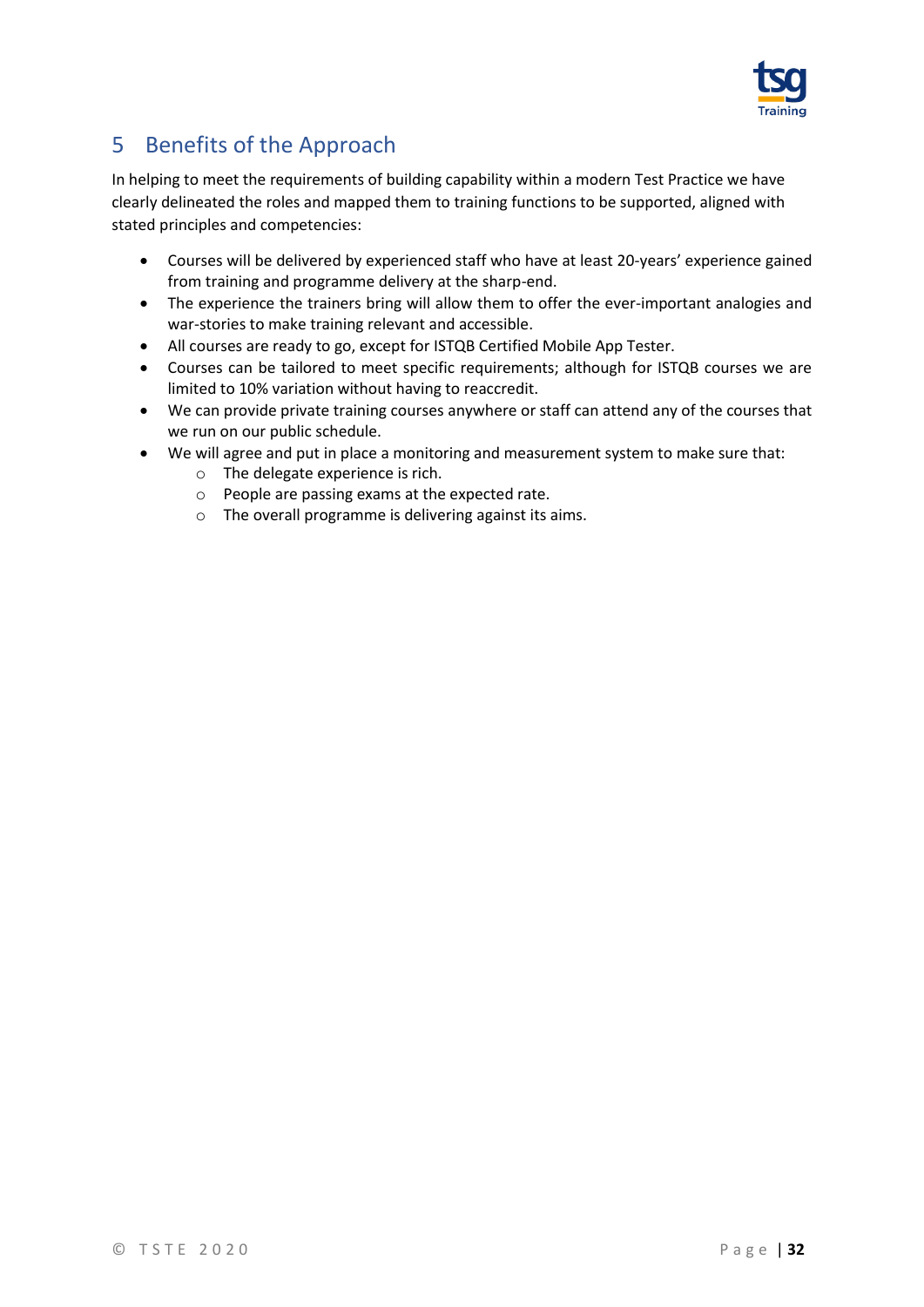

## <span id="page-31-0"></span>5 Benefits of the Approach

In helping to meet the requirements of building capability within a modern Test Practice we have clearly delineated the roles and mapped them to training functions to be supported, aligned with stated principles and competencies:

- Courses will be delivered by experienced staff who have at least 20-years' experience gained from training and programme delivery at the sharp-end.
- The experience the trainers bring will allow them to offer the ever-important analogies and war-stories to make training relevant and accessible.
- All courses are ready to go, except for ISTQB Certified Mobile App Tester.
- Courses can be tailored to meet specific requirements; although for ISTQB courses we are limited to 10% variation without having to reaccredit.
- We can provide private training courses anywhere or staff can attend any of the courses that we run on our public schedule.
- We will agree and put in place a monitoring and measurement system to make sure that:
	- o The delegate experience is rich.
	- o People are passing exams at the expected rate.
	- o The overall programme is delivering against its aims.